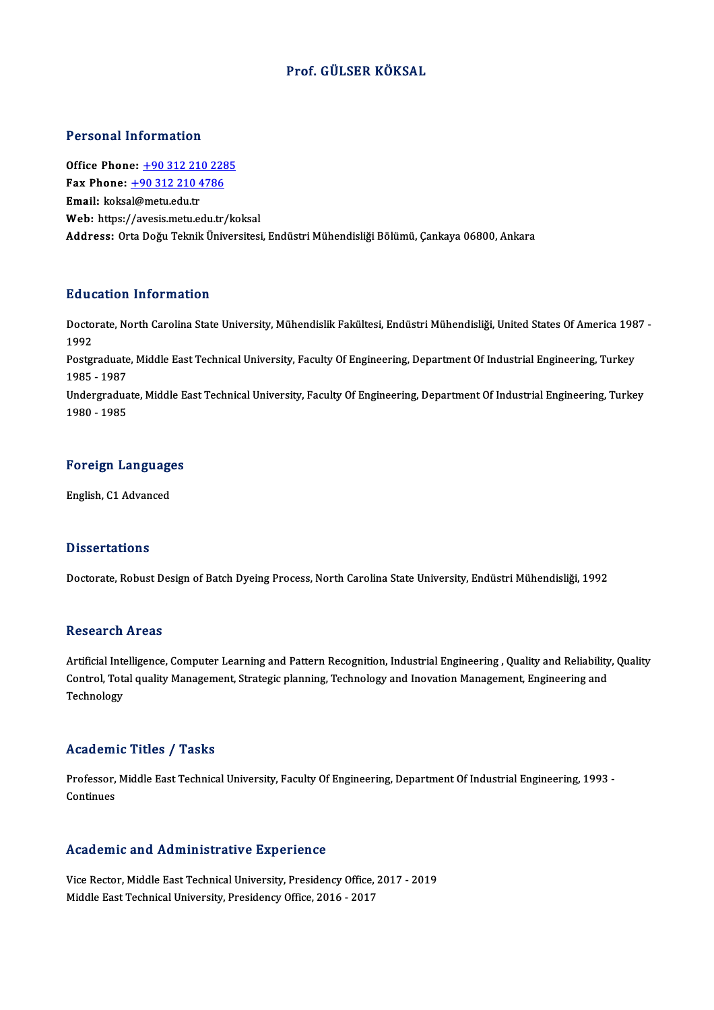## Prof. GÜLSER KÖKSAL

#### Personal Information

**Personal Information<br>Office Phone: +90 312 210 2285<br>Fax Phone: +90 312 210 4796** Fax Phone: <u>+90 312 210 228</u><br>Fax Phone: <u>+90 312 210 4786</u><br>Fmail: koksal@matu.edu.tr Office Phone: <u>+90 312 21</u><br>Fax Phone: <u>+90 312 210 4</u><br>Email: koks[al@metu.edu.tr](tel:+90 312 210 4786) Fax Phone: <u>+90 312 210 4786</u><br>Email: koksal@metu.edu.tr<br>Web: https://avesis.metu.edu.tr/koksal Address: Orta Doğu Teknik Üniversitesi, Endüstri Mühendisliği Bölümü, Çankaya 06800, Ankara

### Education Information

**Education Information**<br>Doctorate, North Carolina State University, Mühendislik Fakültesi, Endüstri Mühendisliği, United States Of America 1987 -<br>1992 But<br>Docto<br>1992<br><sup>Bosto</sup> Doctorate, North Carolina State University, Mühendislik Fakültesi, Endüstri Mühendisliği, United States Of America 198<br>1992<br>Postgraduate, Middle East Technical University, Faculty Of Engineering, Department Of Industrial E

1992<br>Postgraduate<br>1985 - 1987<br>Undergradue Postgraduate, Middle East Technical University, Faculty Of Engineering, Department Of Industrial Engineering, Turkey<br>1985 - 1987<br>Undergraduate, Middle East Technical University, Faculty Of Engineering, Department Of Indust

1985 - 1987<br>Undergraduate, Middle East Technical University, Faculty Of Engineering, Department Of Industrial Engineering, Turkey<br>1980 - 1985

## 1980 - 1985<br>Foreign Languages <mark>Foreign Language</mark><br>English, C1 Advanced

English, C1 Advanced<br>Dissertations

Doctorate, Robust Design of Batch Dyeing Process, North Carolina State University, Endüstri Mühendisliği, 1992

#### **Research Areas**

Research Areas<br>Artificial Intelligence, Computer Learning and Pattern Recognition, Industrial Engineering , Quality and Reliability, Quality<br>Control, Tatel quality Managament, Strategic planning, Technology and Inevation M Yessear on 711 cas<br>Artificial Intelligence, Computer Learning and Pattern Recognition, Industrial Engineering , Quality and Reliability<br>Control, Total quality Management, Strategic planning, Technology and Inovation Manage Artificial Inte<br>Control, Tota<br>Technology

## Technology<br>Academic Titles / Tasks

Academic Titles / Tasks<br>Professor, Middle East Technical University, Faculty Of Engineering, Department Of Industrial Engineering, 1993 -<br>Continues Professor,<br>Continues

## Academic and Administrative Experience

Vice Rector, Middle East Technical University, Presidency Office, 2017 - 2019 Middle East Technical University, Presidency Office, 2016 - 2017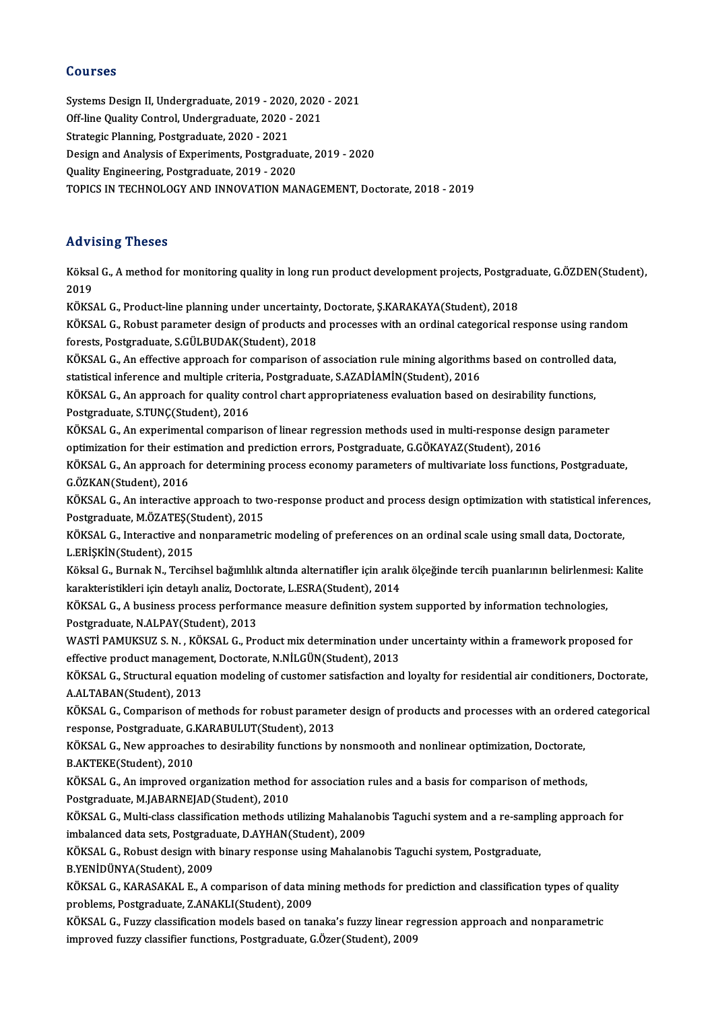### Courses

Courses<br>Systems Design II, Undergraduate, 2019 - 2020, 2020 - 2021<br>Off line Quality Central, Undergraduate, 2020, 2021 Systems Design II, Undergraduate, 2019 - 2020, 2020<br>Off-line Quality Control, Undergraduate, 2020 - 2021<br>Strategie Plenning, Pestgraduate, 2020 - 2021 Systems Design II, Undergraduate, 2019 - 2020<br>Off-line Quality Control, Undergraduate, 2020 -<br>Strategic Planning, Postgraduate, 2020 - 2021<br>Design and Analysis of Euneriments, Bestgrad. Off-line Quality Control, Undergraduate, 2020 - 2021<br>Strategic Planning, Postgraduate, 2020 - 2021<br>Design and Analysis of Experiments, Postgraduate, 2019 - 2020<br>Quality Engineering, Postgraduate, 2019 - 2020 Strategic Planning, Postgraduate, 2020 - 2021<br>Design and Analysis of Experiments, Postgradua<br>Quality Engineering, Postgraduate, 2019 - 2020<br>TOBICS IN TECHNOLOCY AND INNOVATION MA TOPICS IN TECHNOLOGY AND INNOVATION MANAGEMENT, Doctorate, 2018 - 2019

### Advising Theses

**Advising Theses**<br>Köksal G., A method for monitoring quality in long run product development projects, Postgraduate, G.ÖZDEN(Student),<br>2019 rravi<br>Köksa<br>2019<br><sup>VÖVS</sup> Köksal G., A method for monitoring quality in long run product development projects, Postgra<br>2019<br>KÖKSAL G., Product-line planning under uncertainty, Doctorate, Ş.KARAKAYA(Student), 2018<br>KÖKSAL G., Poshust parameter design

2019<br>KÖKSAL G., Product-line planning under uncertainty, Doctorate, Ş.KARAKAYA(Student), 2018<br>KÖKSAL G., Robust parameter design of products and processes with an ordinal categorical response using random<br>forests, Postgrad KÖKSAL G., Product-line planning under uncertainty,<br>KÖKSAL G., Robust parameter design of products an<br>forests, Postgraduate, S.GÜLBUDAK(Student), 2018<br>KÖKSAL G. An effective annreach for comparison of KÖKSAL G., Robust parameter design of products and processes with an ordinal categorical response using rando<br>forests, Postgraduate, S.GÜLBUDAK(Student), 2018<br>KÖKSAL G., An effective approach for comparison of association

forests, Postgraduate, S.GÜLBUDAK(Student), 2018<br>KÖKSAL G., An effective approach for comparison of association rule mining algorithms based on controlled data,<br>statistical inference and multiple criteria, Postgraduate, S. KÖKSAL G., An effective approach for comparison of association rule mining algorithms based on controlled c<br>statistical inference and multiple criteria, Postgraduate, S.AZADİAMİN(Student), 2016<br>KÖKSAL G., An approach for q

statistical inference and multiple criter<br>KÖKSAL G., An approach for quality co<br>Postgraduate, S.TUNÇ(Student), 2016<br>VÖKSAL G. An aunorimental somnaris KÖKSAL G., An approach for quality control chart appropriateness evaluation based on desirability functions,<br>Postgraduate, S.TUNÇ(Student), 2016<br>KÖKSAL G., An experimental comparison of linear regression methods used in mu

Postgraduate, S.TUNÇ(Student), 2016<br>KÖKSAL G., An experimental comparison of linear regression methods used in multi-response design parameter<br>optimization for their estimation and prediction errors, Postgraduate, G.GÖKAYA KÖKSAL G., An experimental comparison of linear regression methods used in multi-response design parameter<br>optimization for their estimation and prediction errors, Postgraduate, G.GÖKAYAZ(Student), 2016<br>KÖKSAL G., An appro

**optimization for their estin<br>KÖKSAL G., An approach for G.ÖZKAN(Student), 2016** KÖKSAL G., An approach for determining process economy parameters of multivariate loss functions, Postgraduate,<br>G.ÖZKAN(Student), 2016<br>KÖKSAL G., An interactive approach to two-response product and process design optimizat

G.ÖZKAN(Student), 2016<br>KÖKSAL G., An interactive approach to tw<br>Postgraduate, M.ÖZATEŞ(Student), 2015<br>KÖKSAL G., Interactive and nennarametri KÖKSAL G., An interactive approach to two-response product and process design optimization with statistical infere<br>Postgraduate, M.ÖZATEŞ(Student), 2015<br>KÖKSAL G., Interactive and nonparametric modeling of preferences on a

Postgraduate, M.ÖZATEŞ(Student), 2015<br>KÖKSAL G., Interactive and nonparametric modeling of preferences on an ordinal scale using small data, Doctorate,<br>L.ERİŞKİN(Student), 2015 KÖKSAL G., Interactive and nonparametric modeling of preferences on an ordinal scale using small data, Doctorate,<br>L.ERİŞKİN(Student), 2015<br>Köksal G., Burnak N., Tercihsel bağımlılık altında alternatifler için aralık ölçeği

L.ERİŞKİN(Student), 2015<br>Köksal G., Burnak N., Tercihsel bağımlılık altında alternatifler için aralı<br>karakteristikleri için detaylı analiz, Doctorate, L.ESRA(Student), 2014<br>KÖKSAL G. A business prosess performanse measure Köksal G., Burnak N., Tercihsel bağımlılık altında alternatifler için aralık ölçeğinde tercih puanlarının belirlenmesi<br>karakteristikleri için detaylı analiz, Doctorate, L.ESRA(Student), 2014<br>KÖKSAL G., A business process p

karakteristikleri için detaylı analiz, Doctorate, L.ESRA(Student), 2014<br>KÖKSAL G., A business process performance measure definition system supported by information technologies,<br>Postgraduate, N.ALPAY(Student), 2013 KÖKSAL G., A business process performance measure definition system supported by information technologies,<br>Postgraduate, N.ALPAY(Student), 2013<br>WASTİ PAMUKSUZ S. N. , KÖKSAL G., Product mix determination under uncertainty

Postgraduate, N.ALPAY(Student), 2013<br>WASTİ PAMUKSUZ S. N. , KÖKSAL G., Product mix determination unde<br>effective product management, Doctorate, N.NİLGÜN(Student), 2013<br>KÖKSAL G. Strugtural squation modeling of gustomer sati WASTİ PAMUKSUZ S. N. , KÖKSAL G., Product mix determination under uncertainty within a framework proposed for<br>effective product management, Doctorate, N.NİLGÜN(Student), 2013<br>KÖKSAL G., Structural equation modeling of cust

effective product management, Doctorate, N.NİLGÜN(Student), 2013<br>KÖKSAL G., Structural equation modeling of customer satisfaction and loyalty for residential air conditioners, Doctorate,<br>A.ALTABAN(Student), 2013 KÖKSAL G., Structural equation modeling of customer satisfaction and loyalty for residential air conditioners, Doctorate,<br>A.ALTABAN(Student), 2013<br>KÖKSAL G., Comparison of methods for robust parameter design of products an

A.ALTABAN(Student), 2013<br>KÖKSAL G., Comparison of methods for robust paramet<br>response, Postgraduate, G.KARABULUT(Student), 2013<br>KÖKSAL G. Nouvannnaashes to desimbility functions by KÖKSAL G., Comparison of methods for robust parameter design of products and processes with an ordere<br>response, Postgraduate, G.KARABULUT(Student), 2013<br>KÖKSAL G., New approaches to desirability functions by nonsmooth and

response, Postgraduate, G.KARABULUT(Student), 2013<br>KÖKSAL G., New approaches to desirability functions by nonsmooth and nonlinear optimization, Doctorate,<br>B.AKTEKE(Student), 2010 KÖKSAL G., New approaches to desirability functions by nonsmooth and nonlinear optimization, Doctorate,<br>B.AKTEKE(Student), 2010<br>KÖKSAL G., An improved organization method for association rules and a basis for comparison of

**B.AKTEKE(Student), 2010<br>KÖKSAL G., An improved organization method<br>Postgraduate, M.JABARNEJAD(Student), 2010** KÖKSAL G., An improved organization method for association rules and a basis for comparison of methods,<br>Postgraduate, M.JABARNEJAD(Student), 2010<br>KÖKSAL G., Multi-class classification methods utilizing Mahalanobis Taguchi

Postgraduate, M.JABARNEJAD(Student), 2010<br>KÖKSAL G., Multi-class classification methods utilizing Mahalan<br>imbalanced data sets, Postgraduate, D.AYHAN(Student), 2009<br>KÖKSAL G. Bobust dosign ujth binary response using Mahala KÖKSAL G., Multi-class classification methods utilizing Mahalanobis Taguchi system and a re-sampl<br>imbalanced data sets, Postgraduate, D.AYHAN(Student), 2009<br>KÖKSAL G., Robust design with binary response using Mahalanobis T

imbalanced data sets, Postgraduate, D.AYHAN(Student), 2009<br>KÖKSAL G., Robust design with binary response using Mahalanobis Taguchi system, Postgraduate,<br>B.YENİDÜNYA(Student), 2009

KÖKSAL G., Robust design with binary response using Mahalanobis Taguchi system, Postgraduate,<br>B.YENİDÜNYA(Student), 2009<br>KÖKSAL G., KARASAKAL E., A comparison of data mining methods for prediction and classification types B.YENİDÜNYA(Student), 2009<br>KÖKSAL G., KARASAKAL E., A comparison of data m<br>problems, Postgraduate, Z.ANAKLI(Student), 2009<br>KÖKSAL G. Euggy classification models based on tal KÖKSAL G., KARASAKAL E., A comparison of data mining methods for prediction and classification types of qual<br>problems, Postgraduate, Z.ANAKLI(Student), 2009<br>KÖKSAL G., Fuzzy classification models based on tanaka's fuzzy li

problems, Postgraduate, Z.ANAKLI(Student), 2009<br>KÖKSAL G., Fuzzy classification models based on tanaka's fuzzy linear regression approach and nonparametric<br>improved fuzzy classifier functions, Postgraduate, G.Özer(Student)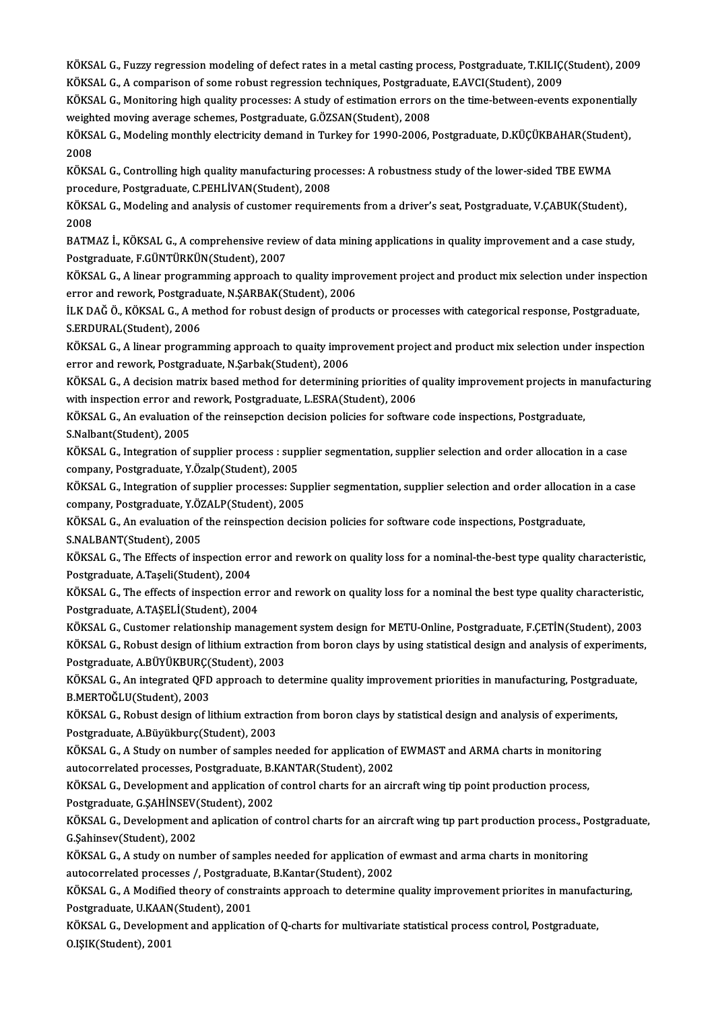KÖKSAL G., Fuzzy regression modeling of defect rates in a metal casting process, Postgraduate, T.KILIÇ(Student), 2009<br>KÖKSAL G., A semperison of same rabust regression techniques, Postgraduate, F.AVCI(Student), 2009, KÖKSAL G., Fuzzy regression modeling of defect rates in a metal casting process, Postgraduate, T.KILIÇ<br>KÖKSAL G., A comparison of some robust regression techniques, Postgraduate, E.AVCI(Student), 2009<br>KÖKSAL G., Monitoring KÖKSAL G., Fuzzy regression modeling of defect rates in a metal casting process, Postgraduate, T.KILIÇ(Student), 2009<br>KÖKSAL G., A comparison of some robust regression techniques, Postgraduate, E.AVCI(Student), 2009<br>KÖKSAL

KÖKSAL G., A comparison of some robust regression techniques, Postgraduation C., Monitoring high quality processes: A study of estimation errors<br>weighted moving average schemes, Postgraduate, G.ÖZSAN(Student), 2008<br>WÖKSAL KÖKSAL G., Monitoring high quality processes: A study of estimation errors on the time-between-events exponentially<br>weighted moving average schemes, Postgraduate, G.ÖZSAN(Student), 2008<br>KÖKSAL G., Modeling monthly electric

weigh<br>KÖKS<br>2008<br><sup>KÖKS</sup> KÖKSAL G., Modeling monthly electricity demand in Turkey for 1990-2006, Postgraduate, D.KÜÇÜKBAHAR(Stude:<br>2008<br>KÖKSAL G., Controlling high quality manufacturing processes: A robustness study of the lower-sided TBE EWMA<br>Pro

2008<br>KÖKSAL G., Controlling high quality manufacturing proc<br>procedure, Postgraduate, C.PEHLİVAN(Student), 2008<br>KÖKSAL G. Modeling and analysis of gustamer requirer KÖKSAL G., Controlling high quality manufacturing processes: A robustness study of the lower-sided TBE EWMA<br>procedure, Postgraduate, C.PEHLİVAN(Student), 2008<br>KÖKSAL G., Modeling and analysis of customer requirements from

procedure, Postgraduate, C.PEHLİVAN(Student), 2008<br>KÖKSAL G., Modeling and analysis of customer requirements from a driver's seat, Postgraduate, V.ÇABUK(Student),<br>2008 KÖKSAL G., Modeling and analysis of customer requirements from a driver's seat, Postgraduate, V.ÇABUK(Student),<br>2008<br>BATMAZ İ., KÖKSAL G., A comprehensive review of data mining applications in quality improvement and a cas

2008<br>BATMAZ İ., KÖKSAL G., A comprehensive revie<br>Postgraduate, F.GÜNTÜRKÜN(Student), 2007<br>KÖKSAL G. A linear programming approach te BATMAZ İ., KÖKSAL G., A comprehensive review of data mining applications in quality improvement and a case study,<br>Postgraduate, F.GÜNTÜRKÜN(Student), 2007<br>KÖKSAL G., A linear programming approach to quality improvement pro

Postgraduate, F.GÜNTÜRKÜN(Student), 2007<br>KÖKSAL G., A linear programming approach to quality impro<br>error and rework, Postgraduate, N.ŞARBAK(Student), 2006<br>ILK DAČ Ö. KÖKSAL G. A method for robust design of produ KÖKSAL G., A linear programming approach to quality improvement project and product mix selection under inspectio<br>error and rework, Postgraduate, N.ŞARBAK(Student), 2006<br>İLK DAĞ Ö., KÖKSAL G., A method for robust design of

error and rework, Postgrad<br>İLK DAĞ Ö., KÖKSAL G., A me<br>S.ERDURAL(Student), 2006<br>KÖKSAL G. A linear program iLK DAĞ Ö., KÖKSAL G., A method for robust design of products or processes with categorical response, Postgraduate,<br>S.ERDURAL(Student), 2006<br>KÖKSAL G., A linear programming approach to quaity improvement project and produc

S.ERDURAL(Student), 2006<br>KÖKSAL G., A linear programming approach to quaity impr<br>error and rework, Postgraduate, N.Şarbak(Student), 2006<br>KÖKSAL G. A desision metriy based method for determinin KÖKSAL G., A linear programming approach to quaity improvement project and product mix selection under inspection<br>error and rework, Postgraduate, N.Şarbak(Student), 2006<br>KÖKSAL G., A decision matrix based method for determ

error and rework, Postgraduate, N.Şarbak(Student), 2006<br>KÖKSAL G., A decision matrix based method for determining priorities of<br>with inspection error and rework, Postgraduate, L.ESRA(Student), 2006<br>KÖKSAL G. An synhistion KÖKSAL G., A decision matrix based method for determining priorities of quality improvement projects in m<br>with inspection error and rework, Postgraduate, L.ESRA(Student), 2006<br>KÖKSAL G., An evaluation of the reinsepction d

with inspection error and rework, Postgraduate, L.ESRA(Student), 2006<br>KÖKSAL G., An evaluation of the reinsepction decision policies for software code inspections, Postgraduate,<br>S.Nalbant(Student), 2005

KÖKSAL G., An evaluation of the reinsepction decision policies for software code inspections, Postgraduate,<br>S.Nalbant(Student), 2005<br>KÖKSAL G., Integration of supplier process : supplier segmentation, supplier selection an S.Nalbant(Student), 2005<br>KÖKSAL G., Integration of supplier process : supp<br>company, Postgraduate, Y.Özalp(Student), 2005<br>KÖKSAL G. Integration of supplier processes: Su KÖKSAL G., Integration of supplier process : supplier segmentation, supplier selection and order allocation in a case<br>company, Postgraduate, Y.Özalp(Student), 2005<br>KÖKSAL G., Integration of supplier processes: Supplier seg

company, Postgraduate, Y.Özalp(Student), 2005<br>KÖKSAL G., Integration of supplier processes: Sup<br>company, Postgraduate, Y.ÖZALP(Student), 2005<br>KÖKSAL G. An synlustion of the reinspection deci KÖKSAL G., Integration of supplier processes: Supplier segmentation, supplier selection and order allocation<br>company, Postgraduate, Y.ÖZALP(Student), 2005<br>KÖKSAL G., An evaluation of the reinspection decision policies for

company, Postgraduate, Y.ÖZALP(Student), 2005<br>KÖKSAL G., An evaluation of the reinspection decision policies for software code inspections, Postgraduate,<br>S.NALBANT(Student), 2005

KÖKSAL G., An evaluation of the reinspection decision policies for software code inspections, Postgraduate,<br>S.NALBANT(Student), 2005<br>KÖKSAL G., The Effects of inspection error and rework on quality loss for a nominal-the-b S.NALBANT(Student), 2005<br>KÖKSAL G., The Effects of inspection er<br>Postgraduate, A.Taşeli(Student), 2004<br>KÖKSAL G. The effects of inspection en KÖKSAL G., The Effects of inspection error and rework on quality loss for a nominal-the-best type quality characteristic,<br>Postgraduate, A.Taşeli(Student), 2004<br>KÖKSAL G., The effects of inspection error and rework on quali

Postgraduate, A.Taşeli(Student), 2004<br>KÖKSAL G., The effects of inspection erre<br>Postgraduate, A.TAŞELİ(Student), 2004<br>KÖKSAL G. Gustamar relationskin mana KÖKSAL G., The effects of inspection error and rework on quality loss for a nominal the best type quality characteristic,<br>Postgraduate, A.TAŞELİ(Student), 2004<br>KÖKSAL G., Customer relationship management system design for

Postgraduate, A.TAŞELİ(Student), 2004<br>KÖKSAL G., Customer relationship management system design for METU-Online, Postgraduate, F.ÇETİN(Student), 2003<br>KÖKSAL G., Robust design of lithium extraction from boron clays by using KÖKSAL G., Customer relationship management system design for METU-Online, Postgraduate, F.ÇETİN(Student), 2003<br>KÖKSAL G., Robust design of lithium extraction from boron clays by using statistical design and analysis of ex

KÖKSAL G., Robust design of lithium extraction from boron clays by using statistical design and analysis of experiment<br>Postgraduate, A.BÜYÜKBURÇ(Student), 2003<br>KÖKSAL G., An integrated QFD approach to determine quality imp Postgraduate, A.BÜYÜKBURÇ(Student), 2003<br>KÖKSAL G., An integrated QFD approach to d<br>B.MERTOĞLU(Student), 2003 KÖKSAL G., An integrated QFD approach to determine quality improvement priorities in manufacturing, Postgradu<br>B.MERTOĞLU(Student), 2003<br>KÖKSAL G., Robust design of lithium extraction from boron clays by statistical design

B.MERTOĞLU(Student), 2003<br>KÖKSAL G., Robust design of lithium extracti<br>Postgraduate, A.Büyükburç(Student), 2003<br>KÖKSAL G. A.Study on numbor of samplos n KÖKSAL G., Robust design of lithium extraction from boron clays by statistical design and analysis of experimen<br>Postgraduate, A.Büyükburç(Student), 2003<br>KÖKSAL G., A Study on number of samples needed for application of EWM

Postgraduate, A.Büyükburç(Student), 2003<br>KÖKSAL G., A Study on number of samples needed for application of<br>autocorrelated processes, Postgraduate, B.KANTAR(Student), 2002<br>KÖKSAL G. Develenment and application of sentrel sh KÖKSAL G., A Study on number of samples needed for application of EWMAST and ARMA charts in monitorii<br>autocorrelated processes, Postgraduate, B.KANTAR(Student), 2002<br>KÖKSAL G., Development and application of control charts

autocorrelated processes, Postgraduate, B.KANTAR(Student), 2002<br>KÖKSAL G., Development and application of control charts for an aircraft wing tip point production process, Postgraduate, G.SAHİNSEV(Student), 2002

KÖKSAL G., Development and aplication of control charts for an aircraft wing tip part production process., Postgraduate,<br>G.Sahinsev(Student), 2002 KÖKSAL G., Development and aplication of control charts for an aircraft wing tip part production process., Pe<br>G.Şahinsev(Student), 2002<br>KÖKSAL G., A study on number of samples needed for application of ewmast and arma char

G.\$ahinsev(Student), 2002<br>KÖKSAL G., A study on number of samples needed for application of<br>autocorrelated processes /, Postgraduate, B.Kantar(Student), 2002<br>KÖKSAL G. A Modified theory of senstraints approach to determine KÖKSAL G., A study on number of samples needed for application of ewmast and arma charts in monitoring<br>autocorrelated processes /, Postgraduate, B.Kantar(Student), 2002<br>KÖKSAL G., A Modified theory of constraints approach

autocorrelated processes /, Postgraduate, U.KAAN(Student), 2001<br>Postgraduate, U.KAAN(Student), 2001<br>Postgraduate, U.KAAN(Student), 2001 KÖKSAL G., A Modified theory of constraints approach to determine quality improvement priorites in manufac<br>Postgraduate, U.KAAN(Student), 2001<br>KÖKSAL G., Development and application of Q-charts for multivariate statistical

Postgraduate, U.KAAN(Student), 2001<br>KÖKSAL G., Development and application of Q-charts for multivariate statistical process control, Postgraduate,<br>O.IŞIK(Student), 2001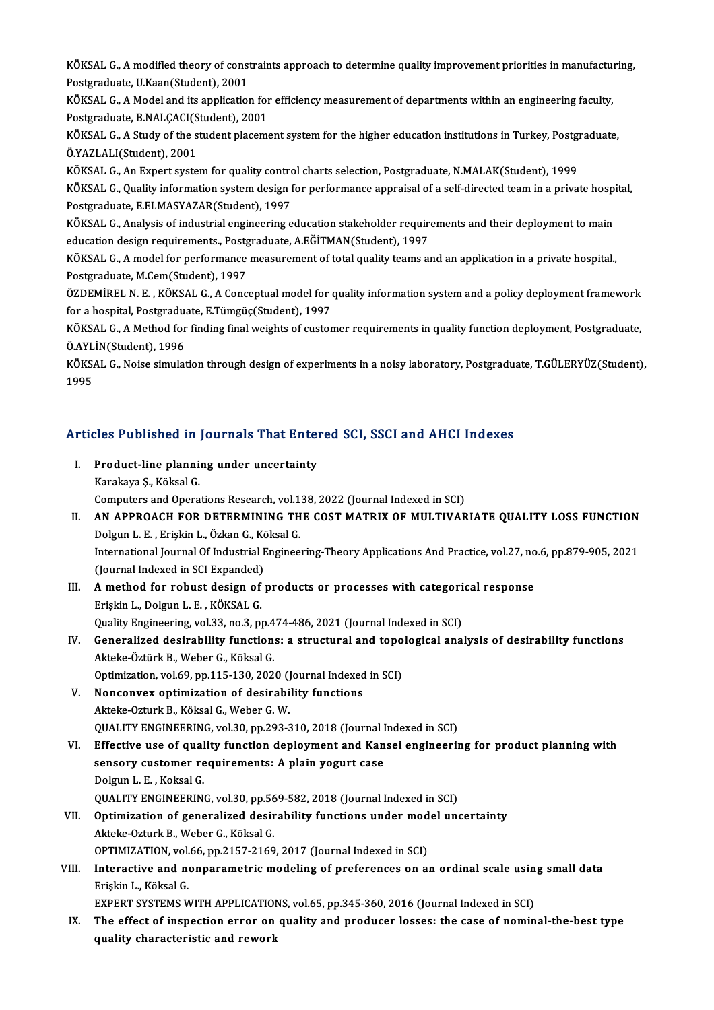KÖKSAL G., A modified theory of constraints approach to determine quality improvement priorities in manufacturing,<br>Pestsreduate U.Kear(Student), 2001 KÖKSAL G., A modified theory of const<br>Postgraduate, U.Kaan(Student), 2001<br>KÖKSAL G. A Model and its annlisation KÖKSAL G., A modified theory of constraints approach to determine quality improvement priorities in manufactur<br>Postgraduate, U.Kaan(Student), 2001<br>KÖKSAL G., A Model and its application for efficiency measurement of depart

Postgraduate, U.Kaan(Student), 2001<br>KÖKSAL G., A Model and its application for efficiency measurement of departments within an engineering faculty,<br>Postgraduate, B.NALÇACI(Student), 2001 KÖKSAL G., A Model and its application for efficiency measurement of departments within an engineering faculty,<br>Postgraduate, B.NALÇACI(Student), 2001<br>KÖKSAL G., A Study of the student placement system for the higher educa

Ö.YAZLALI(Student),2001 KÖKSAL G., A Study of the student placement system for the higher education institutions in Turkey, Postgraduate.<br>Ö.YAZLALI(Student), 2001<br>KÖKSAL G., An Expert system for quality control charts selection, Postgraduate, N.M

KÖKSAL G., Quality information system design for performance appraisal of a self-directed team in a private hospital,<br>Postgraduate, E.ELMASYAZAR(Student), 1997 KÖKSAL G., An Expert system for quality control charts selection, Postgraduate, N.MALAK(Student), 1999 KÖKSAL G., Quality information system design for performance appraisal of a self-directed team in a private hosp<br>Postgraduate, E.ELMASYAZAR(Student), 1997<br>KÖKSAL G., Analysis of industrial engineering education stakeholder

Postgraduate, E.ELMASYAZAR(Student), 1997<br>KÖKSAL G., Analysis of industrial engineering education stakeholder require<br>education design requirements., Postgraduate, A.EĞİTMAN(Student), 1997<br>KÖKSAL G. A. model for porformanc KÖKSAL G., Analysis of industrial engineering education stakeholder requirements and their deployment to main<br>education design requirements., Postgraduate, A.EĞİTMAN(Student), 1997<br>KÖKSAL G., A model for performance measur

education design requirements., Postgraduate, A.EĞİTMAN(Student), 1997<br>KÖKSAL G., A model for performance measurement of total quality teams and an application in a private hospital.,<br>Postgraduate, M.Cem(Student), 1997 KÖKSAL G., A model for performance measurement of total quality teams and an application in a private hospital.,<br>Postgraduate, M.Cem(Student), 1997<br>ÖZDEMİREL N. E. , KÖKSAL G., A Conceptual model for quality information sy

Fostgraduate, M.Cem(Student), 1997<br>ÖZDEMİREL N. E. , KÖKSAL G., A Conceptual model for (<br>for a hospital, Postgraduate, E.Tümgüç(Student), 1997<br>KÖKSAL G. A Methed for finding final weights of guster ÖZDEMİREL N. E. , KÖKSAL G., A Conceptual model for quality information system and a policy deployment framework<br>for a hospital, Postgraduate, E.Tümgüç(Student), 1997<br>KÖKSAL G., A Method for finding final weights of custom

for a hospital, Postgraduate, E.Tümgüç(Student), 1997<br>KÖKSAL G., A Method for finding final weights of customer requirements in quality function deployment, Postgraduate, ÖAYLİN(Student), 1996

KÖKSAL G., Noise simulation through design of experiments in a noisy laboratory, Postgraduate, T.GÜLERYÜZ(Student),<br>1995

## Articles Published in Journals That Entered SCI, SSCI and AHCI Indexes rticles Published in Journals That Enter<br>I. Product-line planning under uncertainty<br>Karakaya S. Käksal C

Karakaya Ş., Köksal G.<br>Karakaya Ş., Köksal G.<br>Gemputers and Opera Product-line planning under uncertainty<br>Karakaya Ş., Köksal G.<br>Computers and Operations Research, vol.138, 2022 (Journal Indexed in SCI)<br>AN APPROACH FOR DETERMINING THE COST MATRIX OF MILLTIVAR Karakaya Ş., Köksal G.<br>Computers and Operations Research, vol.138, 2022 (Journal Indexed in SCI)<br>II. AN APPROACH FOR DETERMINING THE COST MATRIX OF MULTIVARIATE QUALITY LOSS FUNCTION<br>Delgun J. E., Frickin J., Ögkan G., Kök Computers and Operations Research, vol.1<br>AN APPROACH FOR DETERMINING TH<br>Dolgun L. E. , Erişkin L., Özkan G., Köksal G.<br>International Journal Of Industrial Enginee AN APPROACH FOR DETERMINING THE COST MATRIX OF MULTIVARIATE QUALITY LOSS FUNCTION<br>Dolgun L. E. , Erişkin L., Özkan G., Köksal G.<br>International Journal Of Industrial Engineering-Theory Applications And Practice, vol.27, no. Dolgun L. E. , Erişkin L., Özkan G., Kö<br>International Journal Of Industrial I<br>(Journal Indexed in SCI Expanded)<br>A mathod for robust dosism of S International Journal Of Industrial Engineering-Theory Applications And Practice, vol.27, no<br>(Journal Indexed in SCI Expanded)<br>III. A method for robust design of products or processes with categorical response<br>Frieldin L. (Journal Indexed in SCI Expanded)<br>A method for robust design of<br>Erişkin L., Dolgun L. E. , KÖKSAL G.<br>Quality Engineering val 33, no 3, nu A method for robust design of products or processes with categori<br>Erişkin L., Dolgun L. E. , KÖKSAL G.<br>Quality Engineering, vol.33, no.3, pp.474-486, 2021 (Journal Indexed in SCI)<br>Conoralized desirability functions: a stru Erişkin L., Dolgun L. E. , KÖKSAL G.<br>Quality Engineering, vol.33, no.3, pp.474-486, 2021 (Journal Indexed in SCI)<br>IV. Generalized desirability functions: a structural and topological analysis of desirability functions<br>Akte Quality Engineering, vol.33, no.3, pp.474-486, 2021 (Journal Indexed in SCI) Generalized desirability functions: a structural and topo<br>Akteke-Öztürk B., Weber G., Köksal G.<br>Optimization, vol.69, pp.115-130, 2020 (Journal Indexed in SCI)<br>Nonconyay optimization of desirability functions Akteke-Öztürk B., Weber G., Köksal G.<br>Optimization, vol.69, pp.115-130, 2020 (Journal Indexed<br>V. Nonconvex optimization of desirability functions<br>Akteke Orturk B. Köksal G. Weber G. W. Optimization, vol.69, pp.115-130, 2020 ()<br>Nonconvex optimization of desirabi<br>Akteke-Ozturk B., Köksal G., Weber G. W.<br>QUALITY ENCINEERING, vol.30, pp.393-3 Nonconvex optimization of desirability functions<br>Akteke-Ozturk B., Köksal G., Weber G. W.<br>QUALITY ENGINEERING, vol.30, pp.293-310, 2018 (Journal Indexed in SCI)<br>Effective use of quality function deployment and Kansel engin Akteke-Ozturk B., Köksal G., Weber G. W.<br>QUALITY ENGINEERING, vol.30, pp.293-310, 2018 (Journal Indexed in SCI)<br>VI. Effective use of quality function deployment and Kansei engineering for product planning with QUALITY ENGINEERING, vol.30, pp.293-310, 2018 (Journal I<br>Effective use of quality function deployment and Kan<br>sensory customer requirements: A plain yogurt case<br>Pelgun L. E. Kelgel C sensory customer requirements: A plain yogurt case<br>Dolgun L. E., Koksal G. QUALITY ENGINEERING, vol.30, pp.569-582, 2018 (Journal Indexed in SCI) Dolgun L. E., Koksal G.<br>QUALITY ENGINEERING, vol.30, pp.569-582, 2018 (Journal Indexed in SCI)<br>VII. Optimization of generalized desirability functions under model uncertainty<br>Alteke Otturk B. Weben G. Kölsel G. QUALITY ENGINEERING, vol.30, pp.56<br>Optimization of generalized desir<br>Akteke-Ozturk B., Weber G., Köksal G.<br>OPTIMIZATION vol.66 np.3157.3160 Optimization of generalized desirability functions under mod<br>Akteke-Ozturk B., Weber G., Köksal G.<br>OPTIMIZATION, vol.66, pp.2157-2169, 2017 (Journal Indexed in SCI)<br>Interactive and nonneremetrie modeling of nreferences on Akteke-Ozturk B., Weber G., Köksal G.<br>OPTIMIZATION, vol.66, pp.2157-2169, 2017 (Journal Indexed in SCI)<br>VIII. Interactive and nonparametric modeling of preferences on an ordinal scale using small data OPTIMIZATION, vol.<br>Interactive and no<br>Erişkin L., Köksal G.<br>EYBERT SYSTEMS M Interactive and nonparametric modeling of preferences on an ordinal scale usin<br>Erişkin L., Köksal G.<br>EXPERT SYSTEMS WITH APPLICATIONS, vol.65, pp.345-360, 2016 (Journal Indexed in SCI)<br>The effect of inepection error on qua Erişkin L., Köksal G.<br>EXPERT SYSTEMS WITH APPLICATIONS, vol.65, pp.345-360, 2016 (Journal Indexed in SCI)<br>IX. The effect of inspection error on quality and producer losses: the case of nominal-the-best type<br>quality charact EXPERT SYSTEMS WITH APPLICATIOI<br>The effect of inspection error on<br>quality characteristic and rework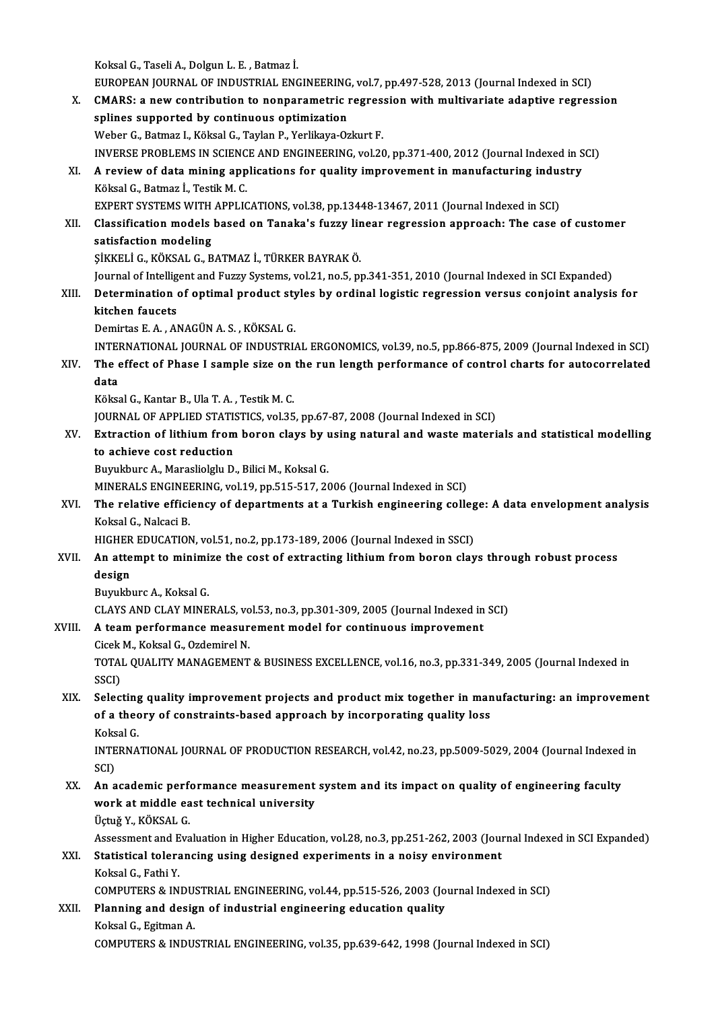KoksalG.,TaseliA.,DolgunL.E. ,Batmaz İ.

Koksal G., Taseli A., Dolgun L. E. , Batmaz İ.<br>EUROPEAN JOURNAL OF INDUSTRIAL ENGINEERING, vol.7, pp.497-528, 2013 (Journal Indexed in SCI)<br>CMARS: a new sentribution to nenneremetris respecsion with multivariate adentive n X. CMARS: a new contribution to nonparametric regression with multivariate adaptive regression splines supported by continuous optimization EUROPEAN JOURNAL OF INDUSTRIAL ENGINEERING<br>CMARS: a new contribution to nonparametric is<br>plines supported by continuous optimization<br>Weber C. Betwer L. Kälsel C. Teylar B. Verlileus Op Weber G., Batmaz I., Köksal G., Taylan P., Yerlikaya-Ozkurt F. INVERSE PROBLEMS IN SCIENCE AND ENGINEERING, vol.20, pp.371-400, 2012 (Journal Indexed in SCI) Weber G., Batmaz I., Köksal G., Taylan P., Yerlikaya-Ozkurt F.<br>INVERSE PROBLEMS IN SCIENCE AND ENGINEERING, vol.20, pp.371-400, 2012 (Journal Indexed in S<br>XI. A review of data mining applications for quality improvement in INVERSE PROBLEMS IN SCIENC<br>A review of data mining app<br>Köksal G., Batmaz İ., Testik M. C.<br>EYBERT SYSTEMS WITH APPLIC A review of data mining applications for quality improvement in manufacturing indus<br>Köksal G., Batmaz İ., Testik M. C.<br>EXPERT SYSTEMS WITH APPLICATIONS, vol.38, pp.13448-13467, 2011 (Journal Indexed in SCI)<br>Classification Köksal G., Batmaz İ., Testik M. C.<br>EXPERT SYSTEMS WITH APPLICATIONS, vol.38, pp.13448-13467, 2011 (Journal Indexed in SCI)<br>XII. Classification models based on Tanaka's fuzzy linear regression approach: The case of cust EXPERT SYSTEMS WITH<br>Classification modeling<br>satisfaction modeling<br>sizzer i.c. vöysal c. P Classification models based on Tanaka's fuzzy lir<br>satisfaction modeling<br>ŞİKKELİ G., KÖKSAL G., BATMAZ İ., TÜRKER BAYRAK Ö.<br>Journal of Intelligent and Eugeu Systems vel 31, no 5, nu satisfaction modeling<br>ŞİKKELİ G., KÖKSAL G., BATMAZ İ., TÜRKER BAYRAK Ö.<br>Journal of Intelligent and Fuzzy Systems, vol.21, no.5, pp.341-351, 2010 (Journal Indexed in SCI Expanded) SİKKELİ G., KÖKSAL G., BATMAZ İ., TÜRKER BAYRAK Ö.<br>Journal of Intelligent and Fuzzy Systems, vol.21, no.5, pp.341-351, 2010 (Journal Indexed in SCI Expanded)<br>XIII. Determination of optimal product styles by ordinal log kitchen faucets<br>Demirtas E. A. , ANAGÜN A. S. , KÖKSAL G. Determination of optimal product sty<br>kitchen faucets<br>Demirtas E. A. , ANAGÜN A. S. , KÖKSAL G.<br>INTERNATIONAL JOURNAL OF INDUSTRI INTERNATIONAL JOURNALOF INDUSTRIAL ERGONOMICS,vol.39,no.5,pp.866-875,2009 (Journal Indexed inSCI) Demirtas E. A. , ANAGÜN A. S. , KÖKSAL G.<br>INTERNATIONAL JOURNAL OF INDUSTRIAL ERGONOMICS, vol.39, no.5, pp.866-875, 2009 (Journal Indexed in SCI)<br>XIV. The effect of Phase I sample size on the run length performance of INTEI<br>The e<br>data The effect of Phase I sample size on<br>data<br>Köksal G., Kantar B., Ula T. A. , Testik M. C.<br>JOUPMAL OF APPLIED STATISTICS vol 35 data<br>Köksal G., Kantar B., Ula T. A. , Testik M. C.<br>JOURNAL OF APPLIED STATISTICS, vol.35, pp.67-87, 2008 (Journal Indexed in SCI)<br>Extraction of lithium from boron clave by using natural and waste materi Köksal G., Kantar B., Ula T. A. , Testik M. C.<br>JOURNAL OF APPLIED STATISTICS, vol.35, pp.67-87, 2008 (Journal Indexed in SCI)<br>XV. Extraction of lithium from boron clays by using natural and waste materials and statistical **JOURNAL OF APPLIED STATIS<br>Extraction of lithium from<br>to achieve cost reduction**<br>Purukbure A. Marasliaklu D Buyukburc A., Marasliolglu D., Bilici M., Koksal G. MINERALS ENGINEERING, vol.19, pp.515-517, 2006 (Journal Indexed in SCI) Buyukburc A., Marasliolglu D., Bilici M., Koksal G.<br>MINERALS ENGINEERING, vol.19, pp.515-517, 2006 (Journal Indexed in SCI)<br>XVI. The relative efficiency of departments at a Turkish engineering college: A data envelopme MINERALS ENGINE<br>The relative effici<br>Koksal G., Nalcaci B.<br>HICHED EDUCATION The relative efficiency of departments at a Turkish engineering colleg<br>Koksal G., Nalcaci B.<br>HIGHER EDUCATION, vol.51, no.2, pp.173-189, 2006 (Journal Indexed in SSCI)<br>An attemnt to minimize the sest of extresting lithium Koksal G., Nalcaci B.<br>HIGHER EDUCATION, vol.51, no.2, pp.173-189, 2006 (Journal Indexed in SSCI)<br>XVII. An attempt to minimize the cost of extracting lithium from boron clays through robust process HIGHER<br><mark>An atte</mark><br>design<br><sup>Rumleb</sup>i An attempt to minimi<br>design<br>Buyukburc A., Koksal G.<br>CLAYS AND CLAY MINE design<br>Buyukburc A., Koksal G.<br>CLAYS AND CLAY MINERALS, vol.53, no.3, pp.301-309, 2005 (Journal Indexed in SCI) Buyukburc A., Koksal G.<br>CLAYS AND CLAY MINERALS, vol.53, no.3, pp.301-309, 2005 (Journal Indexed in<br>XVIII. A team performance measurement model for continuous improvement CLAYS AND CLAY MINERALS, vo<br>A team performance measur<br>Cicek M., Koksal G., Ozdemirel N.<br>TOTAL OUALITY MANACEMENT A team performance measurement model for continuous improvement<br>Cicek M., Koksal G., Ozdemirel N.<br>TOTAL QUALITY MANAGEMENT & BUSINESS EXCELLENCE, vol.16, no.3, pp.331-349, 2005 (Journal Indexed in<br>SSCD Cicek<br>TOTAI<br>SSCI)<br>Selec TOTAL QUALITY MANAGEMENT & BUSINESS EXCELLENCE, vol.16, no.3, pp.331-349, 2005 (Journal Indexed in<br>SSCI)<br>XIX. Selecting quality improvement projects and product mix together in manufacturing: an improvement<br>of a theory of SSCI)<br>Selecting quality improvement projects and product mix together in mar<br>of a theory of constraints-based approach by incorporating quality loss<br>Koksel C Selecting<br>of a theo<br>Koksal G.<br>INTERNA of a theory of constraints-based approach by incorporating quality loss<br>Koksal G.<br>INTERNATIONAL JOURNAL OF PRODUCTION RESEARCH, vol.42, no.23, pp.5009-5029, 2004 (Journal Indexed in<br>SCD Koks<br>INTE<br>SCI)<br>An a INTERNATIONAL JOURNAL OF PRODUCTION RESEARCH, vol.42, no.23, pp.5009-5029, 2004 (Journal Indexed<br>SCI)<br>XX. An academic performance measurement system and its impact on quality of engineering faculty<br>work at middle east tech SCI)<br>An academic performance measurement<br>work at middle east technical university<br>Üghiž V. KÖKSAL C An academic perf<br>work at middle ea<br>Üçtuğ Y., KÖKSAL G.<br>Assessment and Eva work at middle east technical university<br>Üçtuğ Y., KÖKSAL G.<br>Assessment and Evaluation in Higher Education, vol.28, no.3, pp.251-262, 2003 (Journal Indexed in SCI Expanded) XXI. Statistical tolerancing using designed experiments in a noisy environment KoksalG.,FathiY. Statistical tolerancing using designed experiments in a noisy environment<br>Koksal G., Fathi Y.<br>COMPUTERS & INDUSTRIAL ENGINEERING, vol.44, pp.515-526, 2003 (Journal Indexed in SCI)<br>Planning and design of industrial engineer Koksal G., Fathi Y.<br>COMPUTERS & INDUSTRIAL ENGINEERING, vol.44, pp.515-526, 2003 (Jo<br>XXII. Planning and design of industrial engineering education quality<br>Koksal G. Esitman A. COMPUTERS & INDU:<br>Planning and desig<br>Koksal G., Egitman A.<br>COMPUTERS & INDU: Planning and design of industrial engineering education quality<br>Koksal G., Egitman A.<br>COMPUTERS & INDUSTRIAL ENGINEERING, vol.35, pp.639-642, 1998 (Journal Indexed in SCI)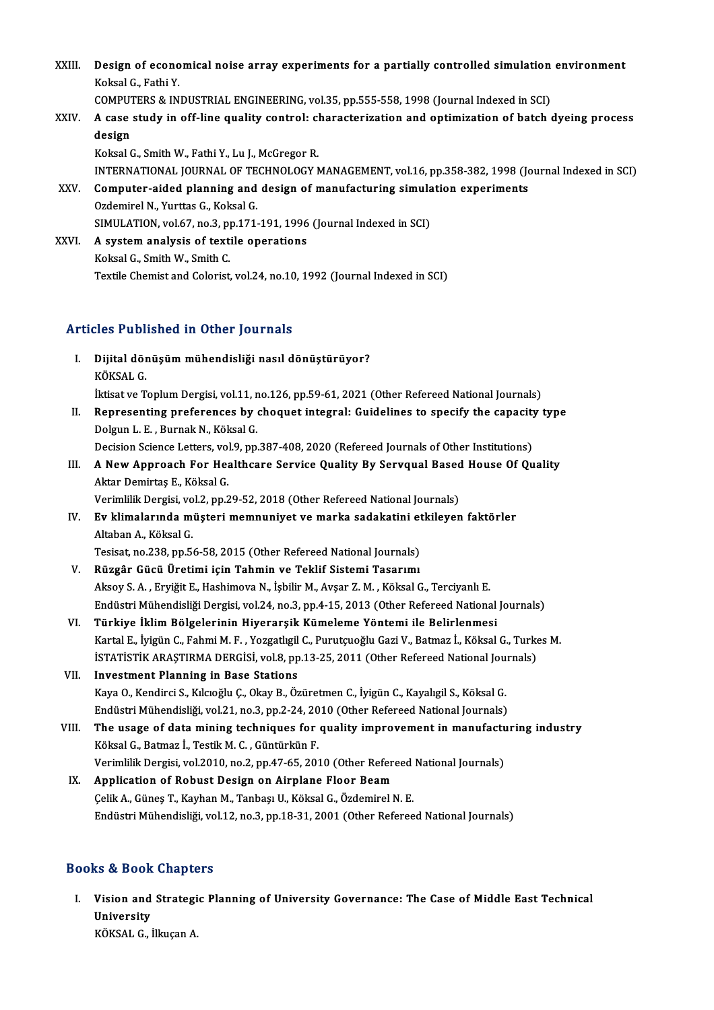XXIII. Design of economical noise array experiments for a partially controlled simulation environment<br>Keksel G. Fathi V. **Design of econo**<br>Koksal G., Fathi Y.<br>COMPUTERS & IN Design of economical noise array experiments for a partially controlled simulation<br>Koksal G., Fathi Y.<br>COMPUTERS & INDUSTRIAL ENGINEERING, vol.35, pp.555-558, 1998 (Journal Indexed in SCI)

- Koksal G., Fathi Y.<br>COMPUTERS & INDUSTRIAL ENGINEERING, vol.35, pp.555-558, 1998 (Journal Indexed in SCI)<br>XXIV. A case study in off-line quality control: characterization and optimization of batch dyeing process COMPUTERS & INDUSTRIAL ENGINEERING, vol.35, pp.555-558, 1998 (Journal Indexed in SCI)<br>A case study in off-line quality control: characterization and optimization of batch<br>design<br>Koksal G., Smith W., Fathi Y., Lu J., McGreg A case study in off-line quality control: cl<br>design<br>Koksal G., Smith W., Fathi Y., Lu J., McGregor R.<br>INTERNATIONAL JOURNAL OF TECHNOLOCY N
- design<br>Koksal G., Smith W., Fathi Y., Lu J., McGregor R.<br>INTERNATIONAL JOURNAL OF TECHNOLOGY MANAGEMENT, vol.16, pp.358-382, 1998 (Journal Indexed in SCI)<br>Computer aided planning and design of manufacturing simulation expe Koksal G., Smith W., Fathi Y., Lu J., McGregor R.<br>INTERNATIONAL JOURNAL OF TECHNOLOGY MANAGEMENT, vol.16, pp.358-382, 1998 (Journalis XXV.<br>Computer-aided planning and design of manufacturing simulation experiments<br>Ordemire INTERNATIONAL JOURNAL OF TE<br>Computer-aided planning and<br>Ozdemirel N., Yurttas G., Koksal G.<br>SIMIJLATION, vol.67, no.3, nn.171.
- Computer-aided planning and design of manufacturing simula<br>Ozdemirel N., Yurttas G., Koksal G.<br>SIMULATION, vol.67, no.3, pp.171-191, 1996 (Journal Indexed in SCI)<br>A system analysis of taytile aperations Ozdemirel N., Yurttas G., Koksal G.<br>SIMULATION, vol.67, no.3, pp.171-191, 1996<br>XXVI. A system analysis of textile operations<br>Velgal G. Smith W. Smith G.
- SIMULATION, vol.67, no.3, p<br>A system analysis of text<br>Koksal G., Smith W., Smith C.<br>Textile Chemist and Colenist A system analysis of textile operations<br>Koksal G., Smith W., Smith C.<br>Textile Chemist and Colorist, vol.24, no.10, 1992 (Journal Indexed in SCI)

## Articles Published in Other Journals

- I. Dijital dönüşümmühendisliği nasıl dönüştürüyor? nes 1 d.s.<br>Dijital dör<br>KÖKSAL G.<br>Utisat ve T KÖKSAL G.<br>İktisat ve Toplum Dergisi, vol.11, no.126, pp.59-61, 2021 (Other Refereed National Journals) KÖKSAL G.<br>Iktisat ve Toplum Dergisi, vol.11, no.126, pp.59-61, 2021 (Other Refereed National Journals)<br>II. Representing preferences by choquet integral: Guidelines to specify the capacity type<br>Delgun J. E. Burnak N. Köksal
- Iktisat ve Toplum Dergisi, vol.11, n<br>Representing preferences by (<br>Dolgun L. E. , Burnak N., Köksal G.<br>Docision Scionce Letters vol.9, nn Representing preferences by choquet integral: Guidelines to specify the capacity<br>Dolgun L. E. , Burnak N., Köksal G.<br>Decision Science Letters, vol.9, pp.387-408, 2020 (Refereed Journals of Other Institutions)<br>A Now Appreac Dolgun L. E. , Burnak N., Köksal G.<br>Decision Science Letters, vol.9, pp.387-408, 2020 (Refereed Journals of Other Institutions)<br>III. A New Approach For Healthcare Service Quality By Servqual Based House Of Quality<br>Alter Do
- Decision Science Letters, vol<br>**A New Approach For He:**<br>Aktar Demirtaş E., Köksal G.<br>Verimlilik Dergisi, vol 2. nn 2 A New Approach For Healthcare Service Quality By Servqual Based<br>Aktar Demirtaş E., Köksal G.<br>Verimlilik Dergisi, vol.2, pp.29-52, 2018 (Other Refereed National Journals)<br>Ev klimalarında müstari mompuniyat ve marka sadakati

## Aktar Demirtaş E., Köksal G.<br>Verimlilik Dergisi, vol.2, pp.29-52, 2018 (Other Refereed National Journals)<br>IV. Ev klimalarında müşteri memnuniyet ve marka sadakatini etkileyen faktörler<br>Altaban A. Köksal G. Verimlilik Dergisi, vol.2, pp.29-52, 2018 (Other Refereed National Journals)<br>**Ev klimalarında müşteri memnuniyet ve marka sadakatini etkileyer**<br>Altaban A., Köksal G.<br>Tesisat, no.238, pp.56-58, 2015 (Other Refereed National Ev klimalarında müşteri memnuniyet ve marka sadakatini et<br>Altaban A., Köksal G.<br>Tesisat, no.238, pp.56-58, 2015 (Other Refereed National Journals)<br>Büzgâr Cüçü Ünetimi için Tohmin ve Teklif Sistemi Teserumı

- V. Rüzgâr Gücü Üretimi için Tahmin ve Teklif Sistemi Tasarımı Aksoy S.A. ,EryiğitE.,HashimovaN., İşbilirM.,Avşar Z.M. ,KöksalG.,TerciyanlıE. Endüstri Mühendisliği Dergisi, vol.24, no.3, pp.4-15, 2013 (Other Refereed National Journals)
- VI. Türkiye İklimBölgelerinin Hiyerarşik Kümeleme Yöntemi ile Belirlenmesi KartalE., İyigünC.,FahmiM.F. ,YozgatlıgilC.,PurutçuoğluGaziV.,Batmaz İ.,KöksalG.,TurkesM. Türkiye İklim Bölgelerinin Hiyerarşik Kümeleme Yöntemi ile Belirlenmesi<br>Kartal E., İyigün C., Fahmi M. F. , Yozgatlıgil C., Purutçuoğlu Gazi V., Batmaz İ., Köksal G., Turke<br>İSTATİSTİK ARAŞTIRMA DERGİSİ, vol.8, pp.13-25, 20
- VII. Investment Planning in Base Stations<br>Kaya O., Kendirci S., Kılcıoğlu Ç., Okay B., Özüretmen C., İyigün C., Kayalıgil S., Köksal G. İSTATİSTİK ARAŞTIRMA DERGİSİ, vol.8, pp.13-25, 2011 (Other Refereed National Jou:<br>Investment Planning in Base Stations<br>Kaya O., Kendirci S., Kılcıoğlu Ç., Okay B., Özüretmen C., İyigün C., Kayalıgil S., Köksal G.<br>Endüstri Endüstri Mühendisliği, vol.21, no.3, pp.2-24, 2010 (Other Refereed National Journals) Kaya O., Kendirci S., Kılcıoğlu Ç., Okay B., Özüretmen C., İyigün C., Kayalıgil S., Köksal G.<br>Endüstri Mühendisliği, vol.21, no.3, pp.2-24, 2010 (Other Refereed National Journals)<br>VIII. The usage of data mining techniques
- Endüstri Mühendisliği, vol.21, no.3, pp.2-24, 20<br>The usage of data mining techniques for<br>Köksal G., Batmaz İ., Testik M. C. , Güntürkün F.<br>Verimlilik Dergisi, vol.2010, no.2, nn.47,65, 201 The usage of data mining techniques for quality improvement in manufactu<br>Köksal G., Batmaz İ., Testik M. C. , Güntürkün F.<br>Verimlilik Dergisi, vol.2010, no.2, pp.47-65, 2010 (Other Refereed National Journals)<br>Annligation o Verimlilik Dergisi, vol.2010, no.2, pp.47-65, 2010 (Other Refereed National Journals)
- Köksal G., Batmaz İ., Testik M. C. , Güntürkün F.<br>Verimlilik Dergisi, vol.2010, no.2, pp.47-65, 2010 (Other Refereed IX.<br>**Application of Robust Design on Airplane Floor Beam**<br>Celik A., Günes T., Kayhan M., Tanbası U., Köks Endüstri Mühendisliği, vol.12, no.3, pp.18-31, 2001 (Other Refereed National Journals)

## Books&Book Chapters

ooks & Book Chapters<br>I. Vision and Strategic Planning of University Governance: The Case of Middle East Technical<br>University University<br>University<br>VÖVSAL C Vision and Strategi<br>University<br>KÖKSAL G., İlkuçan A.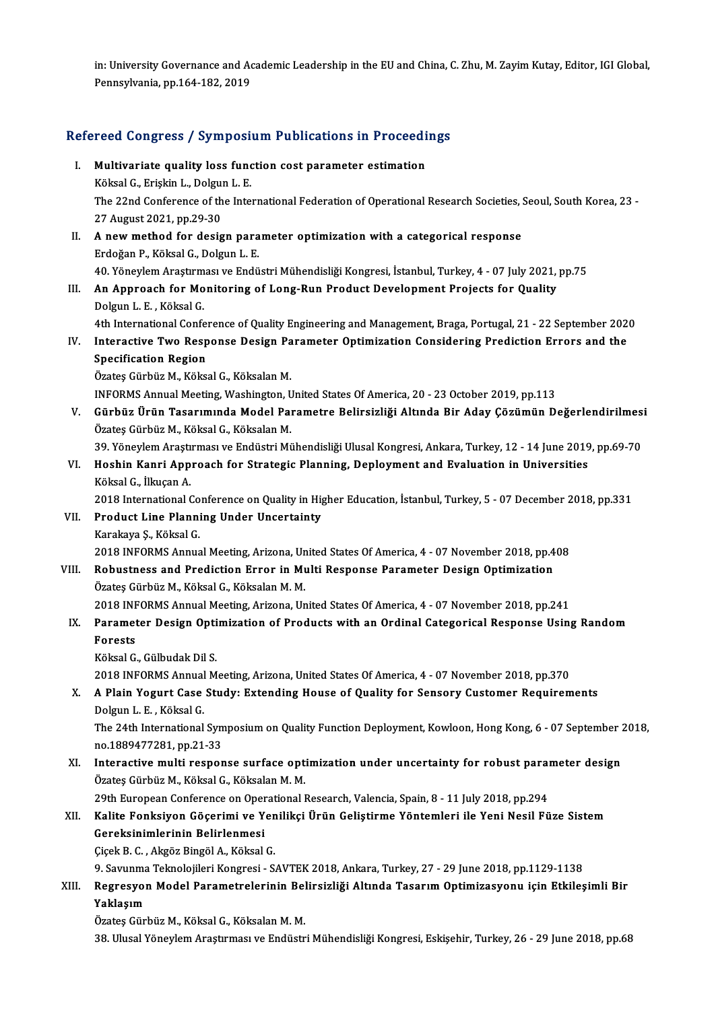in: University Governance and Academic Leadership in the EU and China, C. Zhu, M. Zayim Kutay, Editor, IGI Global,<br>Pennsylvania, pp.164,192,2019 in: University Governance and Ac<br>Pennsylvania, pp.164-182, 2019

# rennsylvania, pp.164-182, 2019<br>Refereed Congress / Symposium Publications in Proceedings

- efereed Congress / Symposium Publications in Proceedi<br>I. Multivariate quality loss function cost parameter estimation<br>Köksel C. Friskin L. Delsun L. E I. Multivariate quality loss function cost parameter estimation The 22nd Conference of the International Federation of Operational Research Societies, Seoul, South Korea, 23 -<br>27 August 2021, pp.29-30 Köksal G., Erişkin L., Dolgun L. E.
- II. A new method for design parameter optimization with a categorical response ErdoğanP.,KöksalG.,DolgunL.E. 40.YöneylemAraştırmasıveEndüstriMühendisliğiKongresi, İstanbul,Turkey,4 -07 July2021,pp.75

## III. An Approach for Monitoring of Long-Run Product Development Projects for Quality Dolgun L.E., Köksal G.

4th International Conference of Quality Engineering and Management, Braga, Portugal, 21 - 22 September 2020

Dolgun L. E. , Köksal G.<br>102 4th International Conference of Quality Engineering and Management, Braga, Portugal, 21 - 22 September<br>102 IV. Interactive Two Response Design Parameter Optimization Considering Prediction Erro 4th International Confer<br>Interactive Two Resp<br>Specification Region<br>Öretes Cürbür M. Költa Interactive Two Response Design Pa<br>Specification Region<br>Özateş Gürbüz M., Köksal G., Köksalan M.<br>INFORMS Annual Meeting Weebington J. Specification Region<br>Özateş Gürbüz M., Köksal G., Köksalan M.<br>INFORMS Annual Meeting, Washington, United States Of America, 20 - 23 October 2019, pp.113<br>Gürbüz Ürün Tasarımında Madel Barametre Belirsizliği Altında Bir Aday

- Özateş Gürbüz M., Köksal G., Köksalan M.<br>INFORMS Annual Meeting, Washington, United States Of America, 20 23 October 2019, pp.113<br>V. Gürbüz Ürün Tasarımında Model Parametre Belirsizliği Altında Bir Aday Çözümün Değer INFORMS Annual Meeting, Washington, U<br>Gürbüz Ürün Tasarımında Model Paı<br>Özateş Gürbüz M., Köksal G., Köksalan M.<br>20. Vänevlem Arastırması ve Endüstri Mi Gürbüz Ürün Tasarımında Model Parametre Belirsizliği Altında Bir Aday Çözümün Değerlendirilmes<br>Özateş Gürbüz M., Köksal G., Köksalan M.<br>39. Yöneylem Araştırması ve Endüstri Mühendisliği Ulusal Kongresi, Ankara, Turkey, 12
- Özateş Gürbüz M., Köksal G., Köksalan M.<br>39. Yöneylem Araştırması ve Endüstri Mühendisliği Ulusal Kongresi, Ankara, Turkey, 12 14 June 2019<br>VI. Hoshin Kanri Approach for Strategic Planning, Deployment and Evaluation 39. Yöneylem Araştı<br>Hoshin Kanri App<br>Köksal G., İlkuçan A.<br>2018 International (

Köksal G., İlkuçan A.<br>2018 International Conference on Quality in Higher Education, İstanbul, Turkey, 5 - 07 December 2018, pp.331

Köksal G., İlkuçan A.<br>2018 International Conference on Quality in Hightar Uncertainty<br>VII. Product Line Planning Under Uncertainty 2018 International Co<br>Product Line Planni<br>Karakaya Ş., Köksal G.<br>2018 INFOPMS Annus Karakaya Ș., Köksal G.<br>2018 INFORMS Annual Meeting, Arizona, United States Of America, 4 - 07 November 2018, pp.408

Karakaya Ș., Köksal G.<br>2018 INFORMS Annual Meeting, Arizona, United States Of America, 4 - 07 November 2018, pp.4<br>VIII. Robustness and Prediction Error in Multi Response Parameter Design Optimization 2018 INFORMS Annual Meeting, Arizona, Un<br>Robustness and Prediction Error in Mu<br>Özateş Gürbüz M., Köksal G., Köksalan M. M.<br>2018 INFORMS Annual Meeting Arizona, Un Robustness and Prediction Error in Multi Response Parameter Design Optimization<br>Özateş Gürbüz M., Köksal G., Köksalan M. M.<br>2018 INFORMS Annual Meeting, Arizona, United States Of America, 4 - 07 November 2018, pp.241<br>Perem

Özateş Gürbüz M., Köksal G., Köksalan M. M.<br>2018 INFORMS Annual Meeting, Arizona, United States Of America, 4 - 07 November 2018, pp.241<br>IX. Parameter Design Optimization of Products with an Ordinal Categorical Respons 2018 INF<br>Paramet<br>Forests Parameter Design Opti<br>Forests<br>Köksal G., Gülbudak Dil S.<br>2019 INFOPMS Annual M Forests<br>Köksal G., Gülbudak Dil S.<br>2018 INFORMS Annual Meeting, Arizona, United States Of America, 4 - 07 November 2018, pp.370<br>A. Plain Vogurt Caso Studyy Extending House of Quality for Sonsory Customer Bequirem

Köksal G., Gülbudak Dil S.<br>2018 INFORMS Annual Meeting, Arizona, United States Of America, 4 - 07 November 2018, pp.370<br>X. A Plain Yogurt Case Study: Extending House of Quality for Sensory Customer Requirements<br>Dolgun 2018 INFORMS Annual<br>A Plain Yogurt Case<br>Dolgun L. E. , Köksal G.<br>The 24th International A Plain Yogurt Case Study: Extending House of Quality for Sensory Customer Requirements<br>Dolgun L. E. , Köksal G.<br>The 24th International Symposium on Quality Function Deployment, Kowloon, Hong Kong, 6 - 07 September 2018,<br>n

Dolgun L. E. , Köksal G.<br>The 24th International Sym<br>no.1889477281, pp.21-33<br>Internative multi resper The 24th International Symposium on Quality Function Deployment, Kowloon, Hong Kong, 6 - 07 September 2<br>no.1889477281, pp.21-33<br>XI. Interactive multi response surface optimization under uncertainty for robust parameter des

no.1889477281, pp.21-33<br>Interactive multi response surface opt<br>Özateş Gürbüz M., Köksal G., Köksalan M. M.<br>20th Euronean Conference en Operational I Interactive multi response surface optimization under uncertainty for robust paral<br>Özateş Gürbüz M., Köksal G., Köksalan M. M.<br>29th European Conference on Operational Research, Valencia, Spain, 8 - 11 July 2018, pp.294<br>Kal

## Özateş Gürbüz M., Köksal G., Köksalan M. M.<br>29th European Conference on Operational Research, Valencia, Spain, 8 - 11 July 2018, pp.294<br>XII. Kalite Fonksiyon Göçerimi ve Yenilikçi Ürün Geliştirme Yöntemleri ile Yeni Ne 29th European Conference on Oper<br>Kalite Fonksiyon Göçerimi ve Y<br>Gereksinimlerinin Belirlenmesi<br>Gisek B.C., Aksës Binsël A., Këksel Kalite Fonksiyon Göçerimi ve Yen<br>Gereksinimlerinin Belirlenmesi<br>Çiçek B. C. , Akgöz Bingöl A., Köksal G.<br>9. Seyunme Telmelejileri Kongresi - S Gereksinimlerinin Belirlenmesi<br>Çiçek B. C. , Akgöz Bingöl A., Köksal G.<br>9. Savunma Teknolojileri Kongresi - SAVTEK 2018, Ankara, Turkey, 27 - 29 June 2018, pp.1129-1138<br>Begnesyen Medel Banametrelerinin Belirsirliği Altında

## Çiçek B. C. , Akgöz Bingöl A., Köksal G.<br>9. Savunma Teknolojileri Kongresi - SAVTEK 2018, Ankara, Turkey, 27 - 29 June 2018, pp.1129-1138<br>XIII. Regresyon Model Parametrelerinin Belirsizliği Altında Tasarım Optimizasyon 9. Savunma<br>Regresyol<br>Yaklaşım Regresyon Model Parametrelerinin Bel<br>Yaklaşım<br>Özateş Gürbüz M., Köksal G., Köksalan M. M.<br>28. Ulugal Yönevlem Anastumacı ve Endüstr **Yaklaşım**<br>Özateş Gürbüz M., Köksal G., Köksalan M. M.<br>38. Ulusal Yöneylem Araştırması ve Endüstri Mühendisliği Kongresi, Eskişehir, Turkey, 26 - 29 June 2018, pp.68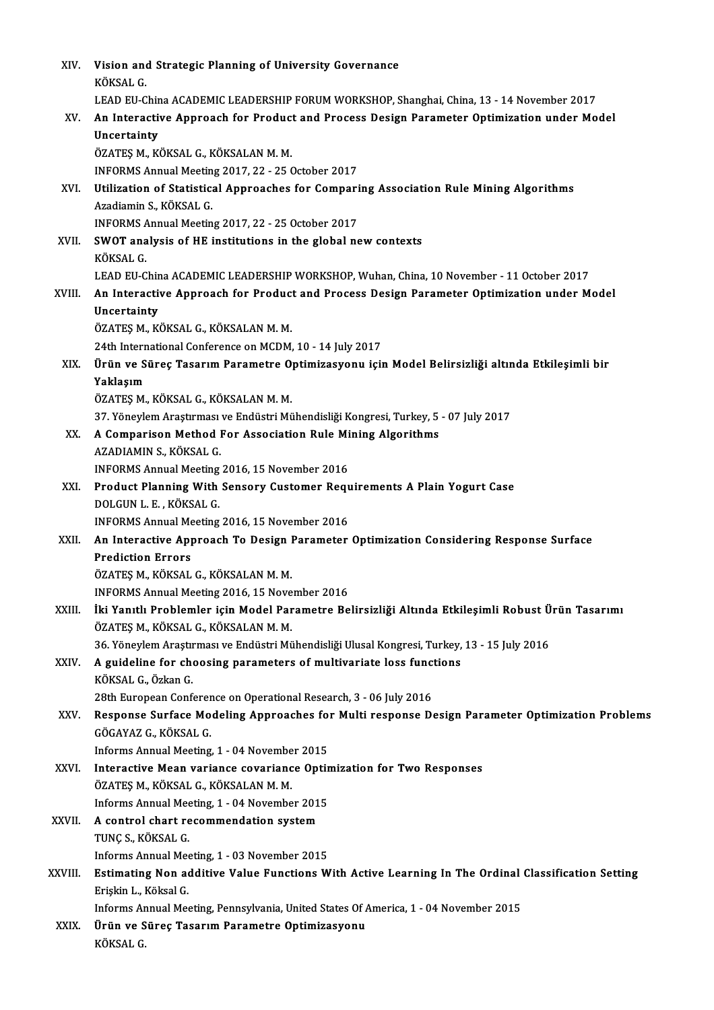| XIV.    | Vision and Strategic Planning of University Governance<br>KÖKSAL G                                 |
|---------|----------------------------------------------------------------------------------------------------|
|         | LEAD EU-China ACADEMIC LEADERSHIP FORUM WORKSHOP, Shanghai, China, 13 - 14 November 2017           |
| XV.     | An Interactive Approach for Product and Process Design Parameter Optimization under Model          |
|         | Uncertainty                                                                                        |
|         | ÖZATEŞ M., KÖKSAL G., KÖKSALAN M. M.                                                               |
|         | INFORMS Annual Meeting 2017, 22 - 25 October 2017                                                  |
| XVI.    | Utilization of Statistical Approaches for Comparing Association Rule Mining Algorithms             |
|         | Azadiamin S., KÖKSAL G.                                                                            |
|         | INFORMS Annual Meeting 2017, 22 - 25 October 2017                                                  |
| XVII.   | SWOT analysis of HE institutions in the global new contexts                                        |
|         | KÖKSAL G                                                                                           |
|         | LEAD EU-China ACADEMIC LEADERSHIP WORKSHOP, Wuhan, China, 10 November - 11 October 2017            |
| XVIII.  | An Interactive Approach for Product and Process Design Parameter Optimization under Model          |
|         | Uncertainty                                                                                        |
|         | ÖZATEŞ M., KÖKSAL G., KÖKSALAN M. M.                                                               |
|         | 24th International Conference on MCDM, 10 - 14 July 2017                                           |
| XIX.    | Ürün ve Süreç Tasarım Parametre Optimizasyonu için Model Belirsizliği altında Etkileşimli bir      |
|         | Yaklaşım                                                                                           |
|         | ÖZATEŞ M., KÖKSAL G., KÖKSALAN M. M.                                                               |
|         | 37. Yöneylem Araştırması ve Endüstri Mühendisliği Kongresi, Turkey, 5 - 07 July 2017               |
| XX.     | A Comparison Method For Association Rule Mining Algorithms                                         |
|         | AZADIAMIN S., KÖKSAL G.                                                                            |
|         | INFORMS Annual Meeting 2016, 15 November 2016                                                      |
| XXI.    | Product Planning With Sensory Customer Requirements A Plain Yogurt Case                            |
|         | DOLGUN L. E., KÖKSAL G.                                                                            |
|         | INFORMS Annual Meeting 2016, 15 November 2016                                                      |
| XXII.   | An Interactive Approach To Design Parameter Optimization Considering Response Surface              |
|         | <b>Prediction Errors</b>                                                                           |
|         | ÖZATEŞ M., KÖKSAL G., KÖKSALAN M. M.                                                               |
|         | INFORMS Annual Meeting 2016, 15 November 2016                                                      |
| XXIII.  | İki Yanıtlı Problemler için Model Parametre Belirsizliği Altında Etkileşimli Robust Ürün Tasarımı  |
|         | ÖZATEŞ M., KÖKSAL G., KÖKSALAN M. M.                                                               |
|         | 36. Yöneylem Araştırması ve Endüstri Mühendisliği Ulusal Kongresi, Turkey, 13 - 15 July 2016       |
| XXIV.   | A guideline for choosing parameters of multivariate loss functions                                 |
|         | KÖKSAL G., Özkan G.                                                                                |
|         | 28th European Conference on Operational Research, 3 - 06 July 2016                                 |
| XXV.    | Response Surface Modeling Approaches for Multi response Design Parameter Optimization Problems     |
|         | GÖGAYAZ G., KÖKSAL G.                                                                              |
|         | Informs Annual Meeting, 1 - 04 November 2015                                                       |
| XXVI.   | Interactive Mean variance covariance Optimization for Two Responses                                |
|         | ÖZATEŞ M., KÖKSAL G., KÖKSALAN M. M.                                                               |
|         | Informs Annual Meeting, 1 - 04 November 2015                                                       |
| XXVII.  | A control chart recommendation system                                                              |
|         | TUNÇ S., KÖKSAL G.                                                                                 |
|         | Informs Annual Meeting, 1 - 03 November 2015                                                       |
| XXVIII. | Estimating Non additive Value Functions With Active Learning In The Ordinal Classification Setting |
|         | Erişkin L., Köksal G.                                                                              |
|         | Informs Annual Meeting, Pennsylvania, United States Of America, 1 - 04 November 2015               |
| XXIX.   | Ürün ve Süreç Tasarım Parametre Optimizasyonu                                                      |
|         | KÖKSAL G.                                                                                          |
|         |                                                                                                    |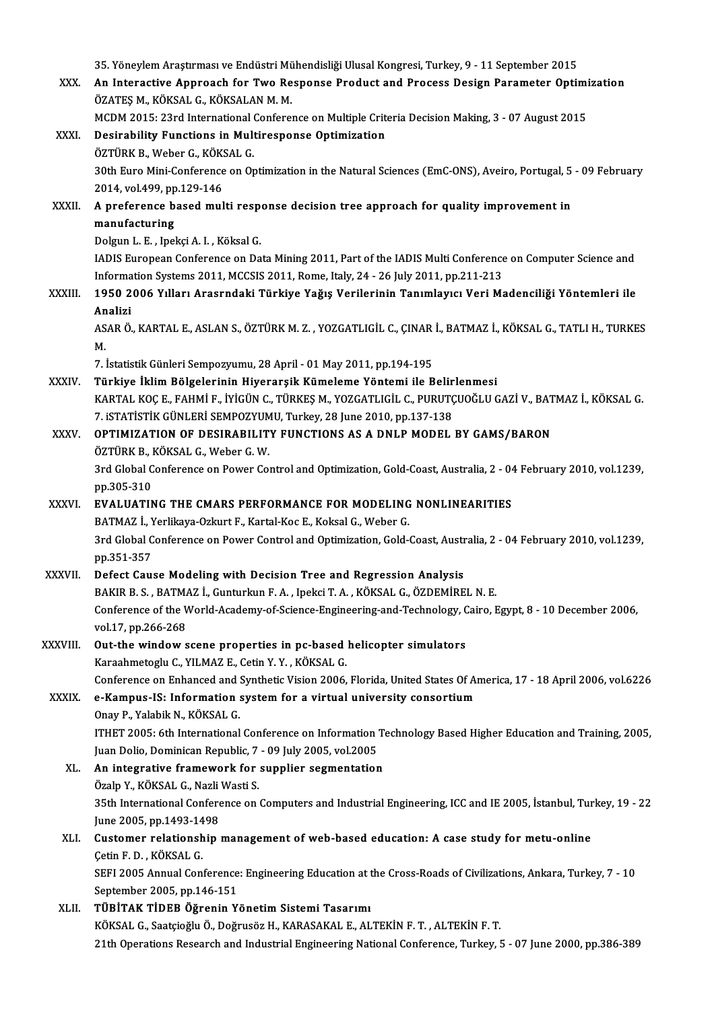|              | 35. Yöneylem Araştırması ve Endüstri Mühendisliği Ulusal Kongresi, Turkey, 9 - 11 September 2015                                             |
|--------------|----------------------------------------------------------------------------------------------------------------------------------------------|
| XXX.         | An Interactive Approach for Two Response Product and Process Design Parameter Optimization                                                   |
|              | ÖZATEŞ M., KÖKSAL G., KÖKSALAN M. M.                                                                                                         |
|              | MCDM 2015: 23rd International Conference on Multiple Criteria Decision Making, 3 - 07 August 2015                                            |
| XXXI.        | Desirability Functions in Multiresponse Optimization                                                                                         |
|              | ÖZTÜRK B., Weber G., KÖKSAL G.                                                                                                               |
|              | 30th Euro Mini-Conference on Optimization in the Natural Sciences (EmC-ONS), Aveiro, Portugal, 5 - 09 February<br>2014, vol 499, pp.129-146  |
| <b>XXXII</b> | A preference based multi response decision tree approach for quality improvement in                                                          |
|              | manufacturing                                                                                                                                |
|              | Dolgun L. E., Ipekçi A. I., Köksal G.                                                                                                        |
|              | IADIS European Conference on Data Mining 2011, Part of the IADIS Multi Conference on Computer Science and                                    |
|              | Information Systems 2011, MCCSIS 2011, Rome, Italy, 24 - 26 July 2011, pp.211-213                                                            |
| XXXIII.      | 1950 2006 Yılları Arasrndaki Türkiye Yağış Verilerinin Tanımlayıcı Veri Madenciliği Yöntemleri ile                                           |
|              | Analizi                                                                                                                                      |
|              | ASAR Ö., KARTAL E., ASLAN S., ÖZTÜRK M. Z., YOZGATLIGİL C., ÇINAR İ., BATMAZ İ., KÖKSAL G., TATLI H., TURKES<br>$M_{\odot}$                  |
|              | 7. İstatistik Günleri Sempozyumu, 28 April - 01 May 2011, pp.194-195                                                                         |
| XXXIV.       | Türkiye İklim Bölgelerinin Hiyerarşik Kümeleme Yöntemi ile Belirlenmesi                                                                      |
|              | KARTAL KOÇ E., FAHMİ F., İYİGÜN C., TÜRKEŞ M., YOZGATLIGİL C., PURUTÇUOĞLU GAZİ V., BATMAZ İ., KÖKSAL G.                                     |
|              | 7. iSTATİSTİK GÜNLERİ SEMPOZYUMU, Turkey, 28 June 2010, pp.137-138                                                                           |
| XXXV.        | OPTIMIZATION OF DESIRABILITY FUNCTIONS AS A DNLP MODEL BY GAMS/BARON                                                                         |
|              | ÖZTÜRK B., KÖKSAL G., Weber G. W.                                                                                                            |
|              | 3rd Global Conference on Power Control and Optimization, Gold-Coast, Australia, 2 - 04 February 2010, vol.1239,                              |
|              | pp 305-310                                                                                                                                   |
| <b>XXXVI</b> | EVALUATING THE CMARS PERFORMANCE FOR MODELING NONLINEARITIES                                                                                 |
|              | BATMAZ İ., Yerlikaya-Ozkurt F., Kartal-Koc E., Koksal G., Weber G.                                                                           |
|              | 3rd Global Conference on Power Control and Optimization, Gold-Coast, Australia, 2 - 04 February 2010, vol.1239,<br>pp 351-357                |
| XXXVII.      | Defect Cause Modeling with Decision Tree and Regression Analysis                                                                             |
|              | BAKIR B. S., BATMAZ İ., Gunturkun F. A., Ipekci T. A., KÖKSAL G., ÖZDEMİREL N. E.                                                            |
|              | Conference of the World-Academy-of-Science-Engineering-and-Technology, Cairo, Egypt, 8 - 10 December 2006,                                   |
|              | vol 17, pp 266-268                                                                                                                           |
| XXXVIII.     | Out-the window scene properties in pc-based helicopter simulators                                                                            |
|              | Karaahmetoglu C., YILMAZ E., Cetin Y.Y., KÖKSAL G.                                                                                           |
|              | Conference on Enhanced and Synthetic Vision 2006, Florida, United States Of America, 17 - 18 April 2006, vol.6226                            |
| XXXIX.       | e-Kampus-IS: Information system for a virtual university consortium                                                                          |
|              | Onay P., Yalabik N., KÖKSAL G.                                                                                                               |
|              | ITHET 2005: 6th International Conference on Information Technology Based Higher Education and Training, 2005,                                |
|              | Juan Dolio, Dominican Republic, 7 - 09 July 2005, vol.2005                                                                                   |
| XL.          | An integrative framework for supplier segmentation                                                                                           |
|              | Özalp Y., KÖKSAL G., Nazli Wasti S.                                                                                                          |
|              | 35th International Conference on Computers and Industrial Engineering, ICC and IE 2005, İstanbul, Turkey, 19 - 22<br>June 2005, pp 1493-1498 |
| XLI.         | Customer relationship management of web-based education: A case study for metu-online                                                        |
|              | Çetin F D , KÖKSAL G                                                                                                                         |
|              | SEFI 2005 Annual Conference: Engineering Education at the Cross-Roads of Civilizations, Ankara, Turkey, 7 - 10                               |
|              | Contambon $2005$ nn $146.151$                                                                                                                |

September 2005, pp.146-151

XLII. TÜBİTAK TİDEB Öğrenin Yönetim Sistemi Tasarımı KÖKSAL G., Saatçioğlu Ö., Doğrusöz H., KARASAKAL E., ALTEKİN F. T. , ALTEKİN F. T. 21th Operations Research and Industrial Engineering National Conference, Turkey, 5 - 07 June 2000, pp.386-389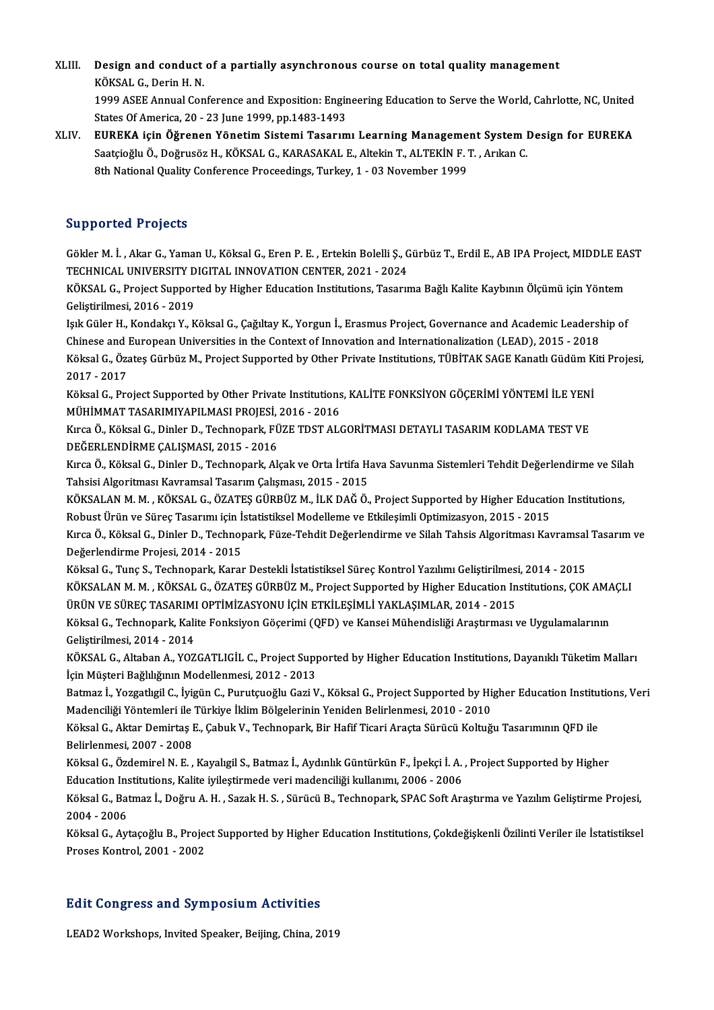XLIII. Design and conduct of a partially asynchronous course on total quality management<br>KÖKSAL G. Darin H. N **Design and conduct<br>KÖKSAL G., Derin H. N.<br>1999 ASEE Annuel Con** KÖKSAL G., Derin H. N.<br>1999 ASEE Annual Conference and Exposition: Engineering Education to Serve the World, Cahrlotte, NC, United

States Of America, 20 - 23 June 1999, pp.1483-1493

XLIV. EUREKA için Öğrenen Yönetim Sistemi Tasarımı Learning Management System Design for EUREKA States Of America, 20 - 23 June 1999, pp.1483-1493<br>EUREKA için Öğrenen Yönetim Sistemi Tasarımı Learning Management System I<br>Saatçioğlu Ö., Doğrusöz H., KÖKSAL G., KARASAKAL E., Altekin T., ALTEKİN F. T. , Arıkan C.<br><sup>9th N</sup> EUREKA için Öğrenen Yönetim Sistemi Tasarımı Learning Manageme<br>Saatçioğlu Ö., Doğrusöz H., KÖKSAL G., KARASAKAL E., Altekin T., ALTEKİN F.<br>8th National Quality Conference Proceedings, Turkey, 1 - 03 November 1999 8th National Quality Conference Proceedings, Turkey, 1 - 03 November 1999<br>Supported Projects

Supported Projects<br>Gökler M. İ. , Akar G., Yaman U., Köksal G., Eren P. E. , Ertekin Bolelli Ş., Gürbüz T., Erdil E., AB IPA Project, MIDDLE EAST<br>TECHNICAL UNIVERSITY DICITAL INNOVATION CENTER, 2021, 2024 Supporteur rejects<br>Gökler M. İ. , Akar G., Yaman U., Köksal G., Eren P. E. , Ertekin Bolelli Ş., G<br>TECHNICAL UNIVERSITY DIGITAL INNOVATION CENTER, 2021 - 2024<br>KÖKSAL G. Preject Sunnerted by Higher Education Institutions Te Gökler M. İ. , Akar G., Yaman U., Köksal G., Eren P. E. , Ertekin Bolelli Ş., Gürbüz T., Erdil E., AB IPA Project, MIDDLE EA<br>TECHNICAL UNIVERSITY DIGITAL INNOVATION CENTER, 2021 - 2024<br>KÖKSAL G., Project Supported by Highe

TECHNICAL UNIVERSITY DIGITAL INNOVATION CENTER, 2021 - 2024<br>KÖKSAL G., Project Supported by Higher Education Institutions, Tasarıma Bağlı Kalite Kaybının Ölçümü için Yöntem<br>Geliştirilmesi, 2016 - 2019 KÖKSAL G., Project Supported by Higher Education Institutions, Tasarıma Bağlı Kalite Kaybının Ölçümü için Yöntem<br>Geliştirilmesi, 2016 - 2019<br>Işık Güler H., Kondakçı Y., Köksal G., Çağıltay K., Yorgun İ., Erasmus Project, G

Geliştirilmesi, 2016 - 2019<br>Işık Güler H., Kondakçı Y., Köksal G., Çağıltay K., Yorgun İ., Erasmus Project, Governance and Academic Leadersl<br>Chinese and European Universities in the Context of Innovation and Internationali Işık Güler H., Kondakçı Y., Köksal G., Çağıltay K., Yorgun İ., Erasmus Project, Governance and Academic Leadership of<br>Chinese and European Universities in the Context of Innovation and Internationalization (LEAD), 2015 - 2 Chinese and **J<br>Köksal G., Öza**<br>2017 - 2017<br>Köksal G. Pra Köksal G., Özateş Gürbüz M., Project Supported by Other Private Institutions, TÜBİTAK SAGE Kanatlı Güdüm K.<br>2017 - 2017<br>Köksal G., Project Supported by Other Private Institutions, KALİTE FONKSİYON GÖÇERİMİ YÖNTEMİ İLE YENİ

2017 - 2017<br>Köksal G., Project Supported by Other Private Institutions<br>MÜHİMMAT TASARIMIYAPILMASI PROJESİ, 2016 - 2016<br>Kırça Ö. Köksal G. Dinler D. Technonark Füze TDST ALA Köksal G., Project Supported by Other Private Institutions, KALİTE FONKSİYON GÖÇERİMİ YÖNTEMİ İLE YENİ<br>MÜHİMMAT TASARIMIYAPILMASI PROJESİ, 2016 - 2016<br>Kırca Ö., Köksal G., Dinler D., Technopark, FÜZE TDST ALGORİTMASI DETAY

MÜHİMMAT TASARIMIYAPILMASI PROJESİ, 2016 - 2016<br>Kırca Ö., Köksal G., Dinler D., Technopark, FÜZE TDST ALGORİTMASI DETAYLI TASARIM KODLAMA TEST VE<br>DEĞERLENDİRME ÇALIŞMASI, 2015 - 2016 Kırca Ö., Köksal G., Dinler D., Technopark, FÜZE TDST ALGORİTMASI DETAYLI TASARIM KODLAMA TEST VE<br>DEĞERLENDİRME ÇALIŞMASI, 2015 - 2016<br>Kırca Ö., Köksal G., Dinler D., Technopark, Alçak ve Orta İrtifa Hava Savunma Sistemler

DEĞERLENDİRME ÇALIŞMASI, 2015 - 2016<br>Kırca Ö., Köksal G., Dinler D., Technopark, Alçak ve Orta İrtifa H.<br>Tahsisi Algoritması Kavramsal Tasarım Çalışması, 2015 - 2015<br>KÖKSALAN M.M., KÖKSAL G., ÖZATES GÜPPÜZ M. İLK DAĞ Ö. Kırca Ö., Köksal G., Dinler D., Technopark, Alçak ve Orta İrtifa Hava Savunma Sistemleri Tehdit Değerlendirme ve Sila<br>Tahsisi Algoritması Kavramsal Tasarım Çalışması, 2015 - 2015<br>KÖKSALAN M. M. , KÖKSAL G., ÖZATEŞ GÜRBÜZ M

Tahsisi Algoritması Kavramsal Tasarım Çalışması, 2015 - 2015<br>KÖKSALAN M. M. , KÖKSAL G., ÖZATEŞ GÜRBÜZ M., İLK DAĞ Ö., Project Supported by Higher Educati<br>Robust Ürün ve Süreç Tasarımı için İstatistiksel Modelleme ve Etkil KÖKSALAN M. M. , KÖKSAL G., ÖZATEŞ GÜRBÜZ M., İLK DAĞ Ö., Project Supported by Higher Education Institutions,<br>Robust Ürün ve Süreç Tasarımı için İstatistiksel Modelleme ve Etkileşimli Optimizasyon, 2015 - 2015<br>Kırca Ö., Kö

Robust Ürün ve Süreç Tasarımı için İstatistiksel Modelleme ve Etkileşimli Optimizasyon, 2015 - 2015<br>Kırca Ö., Köksal G., Dinler D., Technopark, Füze-Tehdit Değerlendirme ve Silah Tahsis Algoritması Kavramsal Tasarım ve<br>Değ Kırca Ö., Köksal G., Dinler D., Technopark, Füze-Tehdit Değerlendirme ve Silah Tahsis Algoritması Kavramsal<br>Değerlendirme Projesi, 2014 - 2015<br>Köksal G., Tunç S., Technopark, Karar Destekli İstatistiksel Süreç Kontrol Yazı

Değerlendirme Projesi, 2014 - 2015<br>Köksal G., Tunç S., Technopark, Karar Destekli İstatistiksel Süreç Kontrol Yazılımı Geliştirilmesi, 2014 - 2015<br>KÖKSALAN M. M. , KÖKSAL G., ÖZATEŞ GÜRBÜZ M., Project Supported by Higher E Köksal G., Tunç S., Technopark, Karar Destekli İstatistiksel Süreç Kontrol Yazılımı Geliştirilmes:<br>KÖKSALAN M. M. , KÖKSAL G., ÖZATEŞ GÜRBÜZ M., Project Supported by Higher Education In<br>ÜRÜN VE SÜREÇ TASARIMI OPTİMİZASYONU KÖKSALAN M. M. , KÖKSAL G., ÖZATEŞ GÜRBÜZ M., Project Supported by Higher Education Institutions, ÇOK AMA<br>ÜRÜN VE SÜREÇ TASARIMI OPTİMİZASYONU İÇİN ETKİLEŞİMLİ YAKLAŞIMLAR, 2014 - 2015<br>Köksal G., Technopark, Kalite Fonksiy

ÜRÜN VE SÜREÇ TASARIMI OPTİMİZASYONU İÇİN ETKİLEŞİMLİ YAKLAŞIMLAR, 2014 - 2015<br>Köksal G., Technopark, Kalite Fonksiyon Göçerimi (QFD) ve Kansei Mühendisliği Araştırması ve Uygulamalarının<br>Geliştirilmesi, 2014 - 2014

KÖKSAL G., Altaban A., YOZGATLIGİL C., Project Supported by Higher Education Institutions, Dayanıklı Tüketim Malları İçin Müşteri Bağlılığının Modellenmesi, 2012 - 2013 KÖKSAL G., Altaban A., YOZGATLIGİL C., Project Supported by Higher Education Institutions, Dayanıklı Tüketim Malları<br>İçin Müşteri Bağlılığının Modellenmesi, 2012 - 2013<br>Batmaz İ., Yozgatlıgil C., İyigün C., Purutçuoğlu Gaz

İçin Müşteri Bağlılığının Modellenmesi, 2012 - 2013<br>Batmaz İ., Yozgatlıgil C., İyigün C., Purutçuoğlu Gazi V., Köksal G., Project Supported by Hi,<br>Madenciliği Yöntemleri ile Türkiye İklim Bölgelerinin Yeniden Belirlenmesi, Batmaz İ., Yozgatlıgil C., İyigün C., Purutçuoğlu Gazi V., Köksal G., Project Supported by Higher Education Institu<br>Madenciliği Yöntemleri ile Türkiye İklim Bölgelerinin Yeniden Belirlenmesi, 2010 - 2010<br>Köksal G., Aktar D

Madenciliği Yöntemleri ile<br>Köksal G., Aktar Demirtaş I<br>Belirlenmesi, 2007 - 2008<br>Köksal G., Özdemirel N. E Köksal G., Aktar Demirtaş E., Çabuk V., Technopark, Bir Hafif Ticari Araçta Sürücü Koltuğu Tasarımının QFD ile<br>Belirlenmesi, 2007 - 2008<br>Köksal G., Özdemirel N. E. , Kayalıgil S., Batmaz İ., Aydınlık Güntürkün F., İpekçi İ

Belirlenmesi, 2007 - 2008<br>Köksal G., Özdemirel N. E. , Kayalıgil S., Batmaz İ., Aydınlık Güntürkün F., İpekçi İ. A. , Project Supported by Higher Education Institutions, Kalite iyileştirmede veri madenciliği kullanımı, 2006 - 2006

Köksal G., Batmaz İ., Doğru A. H. , Sazak H. S. , Sürücü B., Technopark, SPAC Soft Araştırma ve Yazılım Geliştirme Projesi,<br>2004 - 2006 Köksal G., Batmaz İ., Doğru A. H. , Sazak H. S. , Sürücü B., Technopark, SPAC Soft Araştırma ve Yazılım Geliştirme Projesi,<br>2004 - 2006<br>Köksal G., Aytaçoğlu B., Project Supported by Higher Education Institutions, Çokdeğişk

2004 - 2006<br>Köksal G., Aytaçoğlu B., Proje<br>Proses Kontrol, 2001 - 2002

## <sub>Proses Kontrol, 2001 - 2002</sub><br>Edit Congress and Symposium Activities Edit Congress and Symposium Activities<br>LEAD2 Workshops, Invited Speaker, Beijing, China, 2019